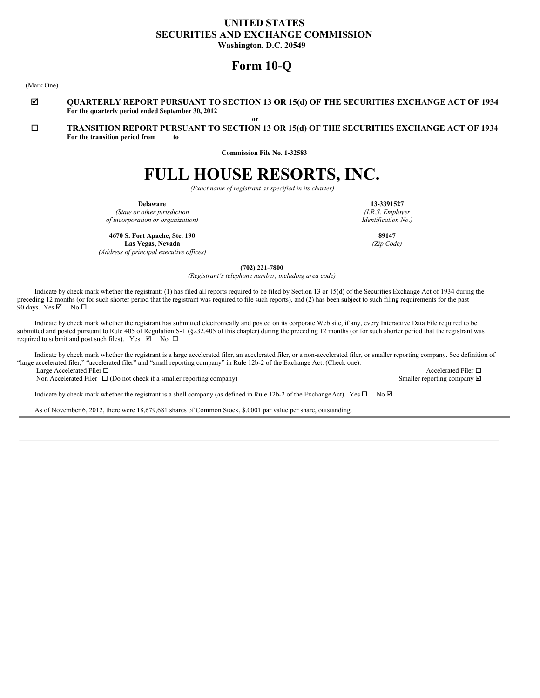# **UNITED STATES SECURITIES AND EXCHANGE COMMISSION**

**Washington, D.C. 20549**

# **Form 10-Q**

(Mark One)

# þ **QUARTERLY REPORT PURSUANT TO SECTION 13 OR 15(d) OF THE SECURITIES EXCHANGE ACT OF 1934 For the quarterly period ended September 30, 2012**

**or**

o **TRANSITION REPORT PURSUANT TO SECTION 13 OR 15(d) OF THE SECURITIES EXCHANGE ACT OF 1934 For the transition period from to**

**Commission File No. 1-32583**

# **FULL HOUSE RESORTS, INC.**

*(Exact name of registrant as specified in its charter)*

**Delaware**

*(State or other jurisdiction of incorporation or organization)*

**4670 S. Fort Apache, Ste. 190 Las Vegas, Nevada**

*(Address of principal executive of ices)*

*(I.R.S. Employer Identification No.)*

**89147** *(Zip Code)*

**13-3391527**

**(702) 221-7800**

*(Registrant's telephone number, including area code)*

Indicate by check mark whether the registrant: (1) has filed all reports required to be filed by Section 13 or 15(d) of the Securities Exchange Act of 1934 during the preceding 12 months (or for such shorter period that the registrant was required to file such reports), and (2) has been subject to such filing requirements for the past 90 days. Yes  $\boxtimes$  No  $\square$ 

Indicate by check mark whether the registrant has submitted electronically and posted on its corporate Web site, if any, every Interactive Data File required to be submitted and posted pursuant to Rule 405 of Regulation S-T (§232.405 of this chapter) during the preceding 12 months (or for such shorter period that the registrant was required to submit and post such files). Yes  $\boxtimes$  No  $\square$ 

Indicate by check mark whether the registrant is a large accelerated filer, an accelerated filer, or a non-accelerated filer, or smaller reporting company. See definition of "large accelerated filer," "accelerated filer" and "small reporting company" in Rule 12b-2 of the Exchange Act. (Check one): Large Accelerated Filer  $\Box$ 

Non Accelerated Filer  $\Box$  (Do not check if a smaller reporting company) Smaller reporting company  $\Box$ 

Indicate by check mark whether the registrant is a shell company (as defined in Rule 12b-2 of the ExchangeAct). Yes  $\Box$  No  $\Box$ 

As of November 6, 2012, there were 18,679,681 shares of Common Stock, \$.0001 par value per share, outstanding.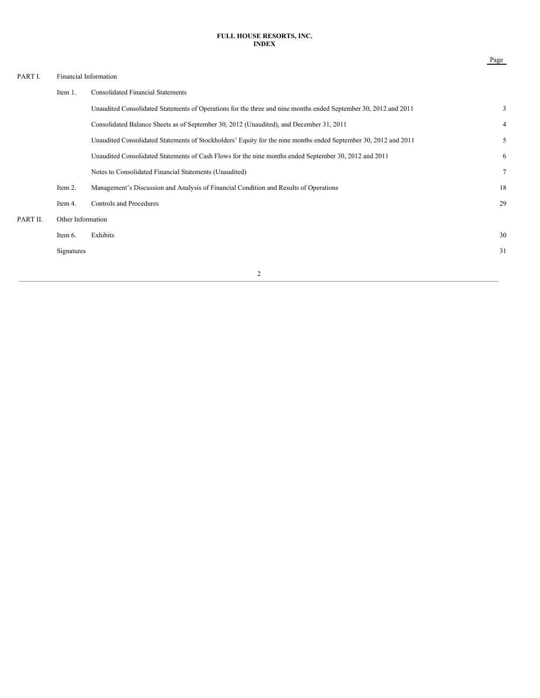# **FULL HOUSE RESORTS, INC. INDEX**

# PART I. Financial Information

PART II.

| Item 1.           | <b>Consolidated Financial Statements</b>                                                                        |                |
|-------------------|-----------------------------------------------------------------------------------------------------------------|----------------|
|                   | Unaudited Consolidated Statements of Operations for the three and nine months ended September 30, 2012 and 2011 | 3              |
|                   | Consolidated Balance Sheets as of September 30, 2012 (Unaudited), and December 31, 2011                         | $\overline{4}$ |
|                   | Unaudited Consolidated Statements of Stockholders' Equity for the nine months ended September 30, 2012 and 2011 | 5              |
|                   | Unaudited Consolidated Statements of Cash Flows for the nine months ended September 30, 2012 and 2011           | 6              |
|                   | Notes to Consolidated Financial Statements (Unaudited)                                                          | $\tau$         |
| Item 2.           | Management's Discussion and Analysis of Financial Condition and Results of Operations                           | 18             |
| Item 4.           | Controls and Procedures                                                                                         | 29             |
| Other Information |                                                                                                                 |                |
| Item 6.           | Exhibits                                                                                                        | 30             |
| Signatures        |                                                                                                                 | 31             |
|                   |                                                                                                                 |                |

2

Page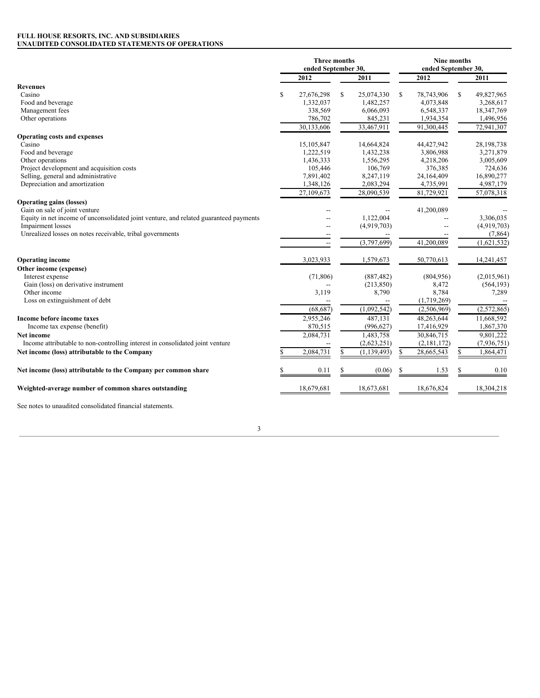#### **FULL HOUSE RESORTS, INC. AND SUBSIDIARIES UNAUDITED CONSOLIDATED STATEMENTS OF OPERATIONS**

|                                                                                       | <b>Three months</b><br>ended September 30, |                     |   | Nine months<br>ended September 30, |                  |
|---------------------------------------------------------------------------------------|--------------------------------------------|---------------------|---|------------------------------------|------------------|
|                                                                                       | 2012                                       | 2011                |   | 2012                               | 2011             |
| <b>Revenues</b>                                                                       |                                            |                     |   |                                    |                  |
| Casino                                                                                | \$<br>27,676,298                           | \$<br>25,074,330    | S | 78,743,906                         | \$<br>49,827,965 |
| Food and beverage                                                                     | 1,332,037                                  | 1,482,257           |   | 4,073,848                          | 3,268,617        |
| Management fees                                                                       | 338,569                                    | 6,066,093           |   | 6,548,337                          | 18,347,769       |
| Other operations                                                                      | 786,702                                    | 845,231             |   | 1,934,354                          | 1,496,956        |
|                                                                                       | 30,133,606                                 | 33,467,911          |   | 91,300,445                         | 72,941,307       |
| <b>Operating costs and expenses</b>                                                   |                                            |                     |   |                                    |                  |
| Casino                                                                                | 15,105,847                                 | 14,664,824          |   | 44,427,942                         | 28,198,738       |
| Food and beverage                                                                     | 1,222,519                                  | 1,432,238           |   | 3,806,988                          | 3,271,879        |
| Other operations                                                                      | 1,436,333                                  | 1,556,295           |   | 4,218,206                          | 3,005,609        |
| Project development and acquisition costs                                             | 105,446                                    | 106,769             |   | 376,385                            | 724,636          |
| Selling, general and administrative                                                   | 7,891,402                                  | 8,247,119           |   | 24,164,409                         | 16,890,277       |
| Depreciation and amortization                                                         | 1,348,126                                  | 2,083,294           |   | 4,735,991                          | 4,987,179        |
|                                                                                       | 27,109,673                                 | 28,090,539          |   | 81,729,921                         | 57,078,318       |
| <b>Operating gains (losses)</b>                                                       |                                            |                     |   |                                    |                  |
| Gain on sale of joint venture                                                         |                                            |                     |   | 41,200,089                         |                  |
| Equity in net income of unconsolidated joint venture, and related guaranteed payments |                                            | 1,122,004           |   | --                                 | 3,306,035        |
| Impairment losses                                                                     |                                            | (4,919,703)         |   | $-$                                | (4,919,703)      |
| Unrealized losses on notes receivable, tribal governments                             |                                            |                     |   |                                    | (7, 864)         |
|                                                                                       | $\overline{\phantom{a}}$                   | (3,797,699)         |   | 41,200,089                         | (1,621,532)      |
| <b>Operating income</b>                                                               | 3,023,933                                  | 1,579,673           |   | 50,770,613                         | 14,241,457       |
| Other income (expense)                                                                |                                            |                     |   |                                    |                  |
| Interest expense                                                                      | (71, 806)                                  | (887, 482)          |   | (804, 956)                         | (2,015,961)      |
| Gain (loss) on derivative instrument                                                  |                                            | (213, 850)          |   | 8,472                              | (564, 193)       |
| Other income                                                                          | 3,119                                      | 8,790               |   | 8,784                              | 7,289            |
| Loss on extinguishment of debt                                                        |                                            |                     |   | (1,719,269)                        |                  |
|                                                                                       | (68, 687)                                  | (1,092,542)         |   | (2,506,969)                        | (2,572,865)      |
| Income before income taxes                                                            | 2,955,246                                  | 487,131             |   | 48,263,644                         | 11,668,592       |
| Income tax expense (benefit)                                                          | 870,515                                    | (996, 627)          |   | 17,416,929                         | 1,867,370        |
| Net income                                                                            | 2,084,731                                  | 1,483,758           |   | 30,846,715                         | 9,801,222        |
| Income attributable to non-controlling interest in consolidated joint venture         |                                            | (2,623,251)         |   | (2,181,172)                        | (7,936,751)      |
| Net income (loss) attributable to the Company                                         | 2,084,731                                  | \$<br>(1, 139, 493) |   | 28,665,543                         | 1,864,471        |
|                                                                                       |                                            |                     |   |                                    |                  |
| Net income (loss) attributable to the Company per common share                        | 0.11                                       | (0.06)              |   | 1.53                               | 0.10             |
| Weighted-average number of common shares outstanding                                  | 18,679,681                                 | 18,673,681          |   | 18,676,824                         | 18,304,218       |
| See notes to unaudited consolidated financial statements.                             |                                            |                     |   |                                    |                  |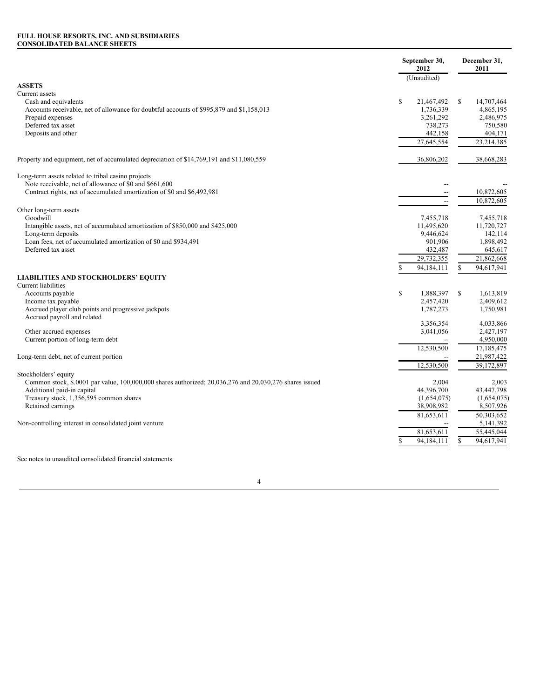#### **FULL HOUSE RESORTS, INC. AND SUBSIDIARIES CONSOLIDATED BALANCE SHEETS**

|                                                                                                              | September 30,<br>2012 |                           |    | December 31,<br>2011     |
|--------------------------------------------------------------------------------------------------------------|-----------------------|---------------------------|----|--------------------------|
|                                                                                                              |                       | (Unaudited)               |    |                          |
| <b>ASSETS</b><br>Current assets                                                                              |                       |                           |    |                          |
| Cash and equivalents                                                                                         | \$                    | 21,467,492                | \$ | 14,707,464               |
| Accounts receivable, net of allowance for doubtful accounts of \$995,879 and \$1,158,013<br>Prepaid expenses |                       | 1,736,339<br>3,261,292    |    | 4.865.195<br>2,486,975   |
| Deferred tax asset                                                                                           |                       | 738,273                   |    | 750,580                  |
| Deposits and other                                                                                           |                       | 442,158                   |    | 404,171                  |
|                                                                                                              |                       | 27,645,554                |    | 23,214,385               |
|                                                                                                              |                       |                           |    |                          |
| Property and equipment, net of accumulated depreciation of \$14,769,191 and \$11,080,559                     |                       | 36,806,202                |    | 38,668,283               |
| Long-term assets related to tribal casino projects                                                           |                       |                           |    |                          |
| Note receivable, net of allowance of \$0 and \$661,600                                                       |                       |                           |    |                          |
| Contract rights, net of accumulated amortization of \$0 and \$6,492,981                                      |                       |                           |    | 10,872,605               |
|                                                                                                              |                       |                           |    | 10,872,605               |
| Other long-term assets                                                                                       |                       |                           |    |                          |
| Goodwill                                                                                                     |                       | 7,455,718                 |    | 7,455,718                |
| Intangible assets, net of accumulated amortization of \$850,000 and \$425,000                                |                       | 11,495,620                |    | 11,720,727               |
| Long-term deposits                                                                                           |                       | 9,446,624                 |    | 142,114                  |
| Loan fees, net of accumulated amortization of \$0 and \$934,491<br>Deferred tax asset                        |                       | 901,906                   |    | 1,898,492                |
|                                                                                                              |                       | 432,487                   |    | 645,617                  |
|                                                                                                              |                       | 29,732,355                |    | 21,862,668               |
|                                                                                                              |                       | 94,184,111                | S  | 94,617,941               |
| <b>LIABILITIES AND STOCKHOLDERS' EQUITY</b>                                                                  |                       |                           |    |                          |
| Current liabilities                                                                                          | \$                    |                           | \$ | 1,613,819                |
| Accounts payable<br>Income tax payable                                                                       |                       | 1,888,397<br>2.457.420    |    | 2,409,612                |
| Accrued player club points and progressive jackpots                                                          |                       | 1,787,273                 |    | 1,750,981                |
| Accrued payroll and related                                                                                  |                       |                           |    |                          |
|                                                                                                              |                       | 3,356,354                 |    | 4,033,866                |
| Other accrued expenses                                                                                       |                       | 3,041,056                 |    | 2,427,197                |
| Current portion of long-term debt                                                                            |                       | $\overline{\phantom{a}}$  |    | 4,950,000                |
|                                                                                                              |                       | 12,530,500                |    | 17,185,475               |
| Long-term debt, net of current portion                                                                       |                       |                           |    | 21,987,422               |
|                                                                                                              |                       | 12,530,500                |    | 39,172,897               |
| Stockholders' equity                                                                                         |                       |                           |    |                          |
| Common stock, \$.0001 par value, 100,000,000 shares authorized; 20,036,276 and 20,030,276 shares issued      |                       | 2,004                     |    | 2,003                    |
| Additional paid-in capital                                                                                   |                       | 44,396,700                |    | 43,447,798               |
| Treasury stock, 1,356,595 common shares<br>Retained earnings                                                 |                       | (1,654,075)<br>38,908,982 |    | (1,654,075)<br>8,507,926 |
|                                                                                                              |                       | 81,653,611                |    | 50,303,652               |
| Non-controlling interest in consolidated joint venture                                                       |                       |                           |    | 5,141,392                |
|                                                                                                              |                       | 81,653,611                |    | 55,445,044               |
|                                                                                                              |                       |                           |    |                          |
|                                                                                                              |                       | 94,184,111                |    | 94,617,941               |

See notes to unaudited consolidated financial statements.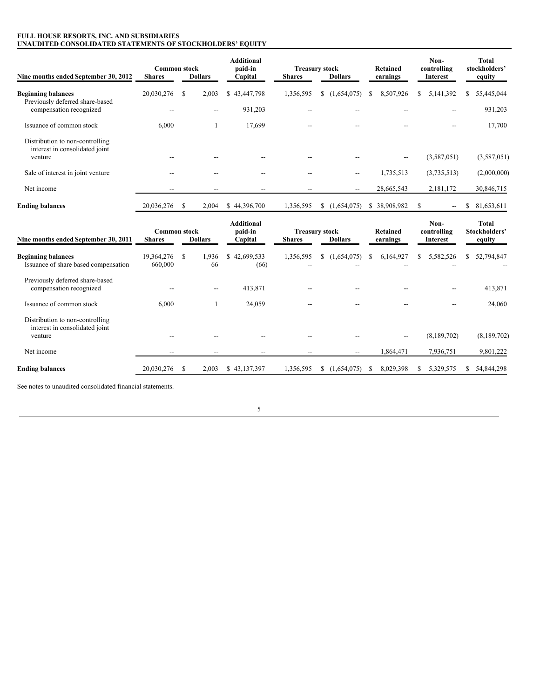#### **FULL HOUSE RESORTS, INC. AND SUBSIDIARIES UNAUDITED CONSOLIDATED STATEMENTS OF STOCKHOLDERS' EQUITY**

| Nine months ended September 30, 2012                                         | <b>Common stock</b><br><b>Shares</b> |   | <b>Dollars</b>    | <b>Additional</b><br>paid-in<br>Capital | <b>Treasury stock</b><br><b>Shares</b> |    | <b>Dollars</b>           | Retained<br>earnings |    | Non-<br>controlling<br>Interest |    | <b>Total</b><br>stockholders'<br>equity |
|------------------------------------------------------------------------------|--------------------------------------|---|-------------------|-----------------------------------------|----------------------------------------|----|--------------------------|----------------------|----|---------------------------------|----|-----------------------------------------|
| <b>Beginning balances</b>                                                    | 20,030,276                           | S | 2,003             | 43,447,798<br>\$                        | 1,356,595                              | S. | (1,654,075)              | 8,507,926<br>S       | S. | 5, 141, 392                     | S. | 55,445,044                              |
| Previously deferred share-based<br>compensation recognized                   | $-$                                  |   | $- -$             | 931,203                                 |                                        |    |                          |                      |    |                                 |    | 931,203                                 |
| Issuance of common stock                                                     | 6,000                                |   |                   | 17,699                                  |                                        |    |                          | $- -$                |    | $\qquad \qquad -$               |    | 17,700                                  |
| Distribution to non-controlling<br>interest in consolidated joint<br>venture | --                                   |   |                   |                                         |                                        |    |                          |                      |    | (3,587,051)                     |    | (3,587,051)                             |
| Sale of interest in joint venture                                            | $-$                                  |   | $- -$             | $- -$                                   | --                                     |    | $\overline{\phantom{a}}$ | 1,735,513            |    | (3,735,513)                     |    | (2,000,000)                             |
| Net income                                                                   | $-$                                  |   | $\qquad \qquad -$ | --                                      |                                        |    | --                       | 28,665,543           |    | 2,181,172                       |    | 30,846,715                              |
| <b>Ending balances</b>                                                       | 20,036,276                           |   | 2,004             | 44,396,700<br>S.                        | 1,356,595                              | S. | (1,654,075)              | 38,908,982<br>S      |    | $\overline{\phantom{m}}$        | \$ | 81,653,611                              |

| Nine months ended September 30, 2011                                         | <b>Common stock</b><br><b>Shares</b> |   | <b>Dollars</b> | <b>Additional</b><br>paid-in<br>Capital | <b>Treasury stock</b><br><b>Shares</b> |    | <b>Dollars</b> |   | Retained<br>earnings |    | Non-<br>controlling<br>Interest |    | <b>Total</b><br>Stockholders'<br>equity |
|------------------------------------------------------------------------------|--------------------------------------|---|----------------|-----------------------------------------|----------------------------------------|----|----------------|---|----------------------|----|---------------------------------|----|-----------------------------------------|
| <b>Beginning balances</b><br>Issuance of share based compensation            | 19,364,276<br>660,000                | S | 1,936<br>-66   | \$42,699,533<br>(66)                    | 1,356,595                              | S. | (1,654,075)    | S | 6,164,927            | S. | 5,582,526                       | S. | 52,794,847                              |
| Previously deferred share-based<br>compensation recognized                   | $- -$                                |   | --             | 413,871                                 | --                                     |    | --             |   |                      |    | $- -$                           |    | 413,871                                 |
| Issuance of common stock                                                     | 6,000                                |   |                | 24,059                                  |                                        |    |                |   |                      |    |                                 |    | 24,060                                  |
| Distribution to non-controlling<br>interest in consolidated joint<br>venture |                                      |   |                |                                         |                                        |    |                |   |                      |    | (8,189,702)                     |    | (8,189,702)                             |
| Net income                                                                   | $- -$                                |   |                | --                                      | --                                     |    | --             |   | 1,864,471            |    | 7,936,751                       |    | 9,801,222                               |
| <b>Ending balances</b>                                                       | 20,030,276                           |   | 2,003          | \$43,137,397                            | 1,356,595                              | S. | (1,654,075)    |   | 8,029,398            |    | 5,329,575                       |    | 54,844,298                              |

See notes to unaudited consolidated financial statements.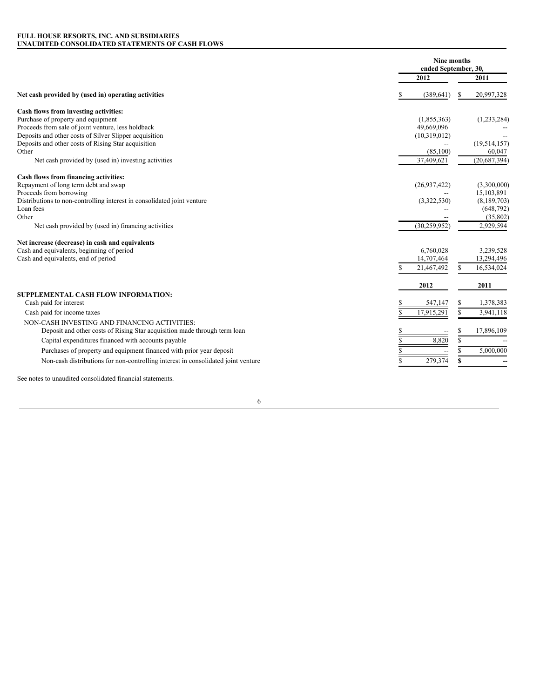# **FULL HOUSE RESORTS, INC. AND SUBSIDIARIES UNAUDITED CONSOLIDATED STATEMENTS OF CASH FLOWS**

|                                                                                   | <b>Nine months</b><br>ended September, 30, |                  |
|-----------------------------------------------------------------------------------|--------------------------------------------|------------------|
|                                                                                   | 2012                                       | 2011             |
| Net cash provided by (used in) operating activities                               | (389, 641)                                 | 20,997,328<br>S  |
| Cash flows from investing activities:                                             |                                            |                  |
| Purchase of property and equipment                                                | (1,855,363)                                | (1,233,284)      |
| Proceeds from sale of joint venture, less holdback                                | 49,669,096                                 |                  |
| Deposits and other costs of Silver Slipper acquisition                            | (10,319,012)                               |                  |
| Deposits and other costs of Rising Star acquisition                               |                                            | (19, 514, 157)   |
| Other                                                                             | (85,100)                                   | 60,047           |
| Net cash provided by (used in) investing activities                               | 37,409,621                                 | (20, 687, 394)   |
| Cash flows from financing activities:                                             |                                            |                  |
| Repayment of long term debt and swap                                              | (26, 937, 422)                             | (3,300,000)      |
| Proceeds from borrowing                                                           |                                            | 15,103,891       |
| Distributions to non-controlling interest in consolidated joint venture           | (3,322,530)                                | (8, 189, 703)    |
| Loan fees                                                                         |                                            | (648, 792)       |
| Other                                                                             |                                            | (35, 802)        |
| Net cash provided by (used in) financing activities                               | (30, 259, 952)                             | 2,929,594        |
| Net increase (decrease) in cash and equivalents                                   |                                            |                  |
| Cash and equivalents, beginning of period                                         | 6,760,028                                  | 3,239,528        |
| Cash and equivalents, end of period                                               | 14,707,464                                 | 13,294,496       |
|                                                                                   | 21,467,492                                 | 16,534,024       |
|                                                                                   | 2012                                       | 2011             |
| SUPPLEMENTAL CASH FLOW INFORMATION:                                               |                                            |                  |
| Cash paid for interest                                                            | 547,147                                    | 1,378,383<br>\$  |
| Cash paid for income taxes                                                        | 17,915,291<br>S                            | 3,941,118<br>\$  |
|                                                                                   |                                            |                  |
| NON-CASH INVESTING AND FINANCING ACTIVITIES:                                      |                                            |                  |
| Deposit and other costs of Rising Star acquisition made through term loan         |                                            | 17,896,109<br>\$ |
| Capital expenditures financed with accounts payable                               | 8,820                                      | S                |
| Purchases of property and equipment financed with prior year deposit              | $\overline{\phantom{a}}$                   | 5,000,000        |
| Non-cash distributions for non-controlling interest in consolidated joint venture | 279,374                                    | S                |
|                                                                                   |                                            |                  |

See notes to unaudited consolidated financial statements.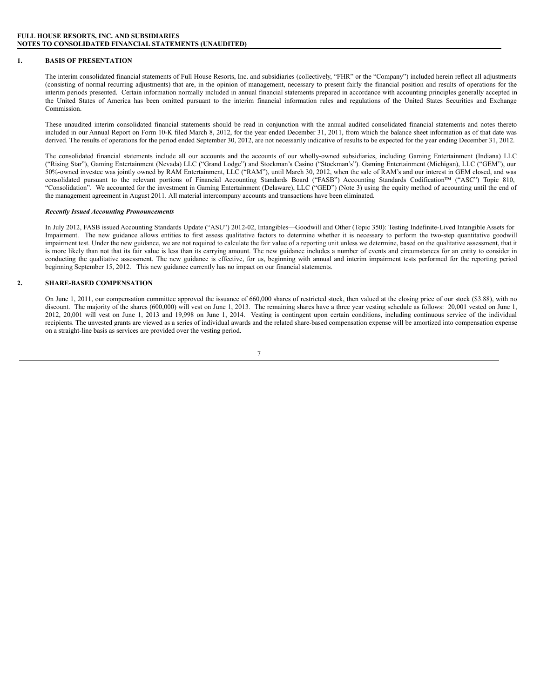# **1. BASIS OF PRESENTATION**

The interim consolidated financial statements of Full House Resorts, Inc. and subsidiaries (collectively, "FHR" or the "Company") included herein reflect all adjustments (consisting of normal recurring adjustments) that are, in the opinion of management, necessary to present fairly the financial position and results of operations for the interim periods presented. Certain information normally included in annual financial statements prepared in accordance with accounting principles generally accepted in the United States of America has been omitted pursuant to the interim financial information rules and regulations of the United States Securities and Exchange Commission.

These unaudited interim consolidated financial statements should be read in conjunction with the annual audited consolidated financial statements and notes thereto included in our Annual Report on Form 10-K filed March 8, 2012, for the year ended December 31, 2011, from which the balance sheet information as of that date was derived. The results of operations for the period ended September 30, 2012, are not necessarily indicative of results to be expected for the year ending December 31, 2012.

The consolidated financial statements include all our accounts and the accounts of our wholly-owned subsidiaries, including Gaming Entertainment (Indiana) LLC ("Rising Star"), Gaming Entertainment (Nevada) LLC ("Grand Lodge") and Stockman's Casino ("Stockman's"). Gaming Entertainment (Michigan), LLC ("GEM"), our 50%-owned investee was jointly owned by RAM Entertainment, LLC ("RAM"), until March 30, 2012, when the sale of RAM's and our interest in GEM closed, and was consolidated pursuant to the relevant portions of Financial Accounting Standards Board ("FASB") Accounting Standards Codification™ ("ASC") Topic 810, "Consolidation". We accounted for the investment in Gaming Entertainment (Delaware), LLC ("GED") (Note 3) using the equity method of accounting until the end of the management agreement in August 2011. All material intercompany accounts and transactions have been eliminated.

#### *Recently Issued Accounting Pronouncements*

In July 2012, FASB issued Accounting Standards Update ("ASU") 2012-02, Intangibles—Goodwill and Other (Topic 350): Testing Indefinite-Lived Intangible Assets for Impairment. The new guidance allows entities to first assess qualitative factors to determine whether it is necessary to perform the two-step quantitative goodwill impairment test. Under the new guidance, we are not required to calculate the fair value of a reporting unit unless we determine, based on the qualitative assessment, that it is more likely than not that its fair value is less than its carrying amount. The new guidance includes a number of events and circumstances for an entity to consider in conducting the qualitative assessment. The new guidance is effective, for us, beginning with annual and interim impairment tests performed for the reporting period beginning September 15, 2012. This new guidance currently has no impact on our financial statements.

#### **2. SHARE-BASED COMPENSATION**

On June 1, 2011, our compensation committee approved the issuance of 660,000 shares of restricted stock, then valued at the closing price of our stock (\$3.88), with no discount. The majority of the shares (600,000) will vest on June 1, 2013. The remaining shares have a three year vesting schedule as follows: 20,001 vested on June 1, 2012, 20,001 will vest on June 1, 2013 and 19,998 on June 1, 2014. Vesting is contingent upon certain conditions, including continuous service of the individual recipients. The unvested grants are viewed as a series of individual awards and the related share-based compensation expense will be amortized into compensation expense on a straight-line basis as services are provided over the vesting period.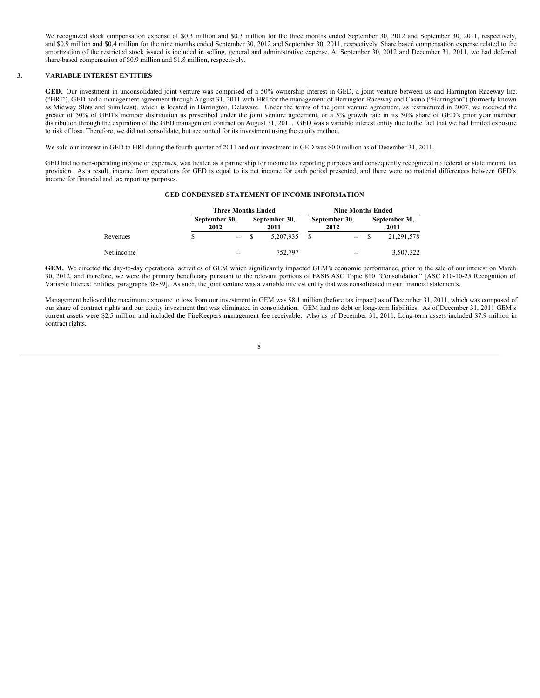We recognized stock compensation expense of \$0.3 million and \$0.3 million for the three months ended September 30, 2012 and September 30, 2011, respectively, and \$0.9 million and \$0.4 million for the nine months ended September 30, 2012 and September 30, 2011, respectively. Share based compensation expense related to the amortization of the restricted stock issued is included in selling, general and administrative expense. At September 30, 2012 and December 31, 2011, we had deferred share-based compensation of \$0.9 million and \$1.8 million, respectively.

# **3. VARIABLE INTEREST ENTITIES**

GED. Our investment in unconsolidated joint venture was comprised of a 50% ownership interest in GED, a joint venture between us and Harrington Raceway Inc. ("HRI"). GED had a management agreement through August 31, 2011 with HRI for the management of Harrington Raceway and Casino ("Harrington") (formerly known as Midway Slots and Simulcast), which is located in Harrington, Delaware. Under the terms of the joint venture agreement, as restructured in 2007, we received the greater of 50% of GED's member distribution as prescribed under the joint venture agreement, or a 5% growth rate in its 50% share of GED's prior year member distribution through the expiration of the GED management contract on August 31, 2011. GED was a variable interest entity due to the fact that we had limited exposure to risk of loss. Therefore, we did not consolidate, but accounted for its investment using the equity method.

We sold our interest in GED to HRI during the fourth quarter of 2011 and our investment in GED was \$0.0 million as of December 31, 2011.

GED had no non-operating income or expenses, was treated as a partnership for income tax reporting purposes and consequently recognized no federal or state income tax provision. As a result, income from operations for GED is equal to its net income for each period presented, and there were no material differences between GED's income for financial and tax reporting purposes.

#### **GED CONDENSED STATEMENT OF INCOME INFORMATION**

|            | <b>Three Months Ended</b> |       |                       |                       | <b>Nine Months Ended</b> |                       |  |  |  |
|------------|---------------------------|-------|-----------------------|-----------------------|--------------------------|-----------------------|--|--|--|
|            | September 30,<br>2012     |       | September 30,<br>2011 | September 30,<br>2012 |                          | September 30,<br>2011 |  |  |  |
| Revenues   |                           | $- -$ | 5.207.935             | <b>S</b>              | $\overline{\phantom{a}}$ | 21.291.578            |  |  |  |
| Net income |                           | --    | 752.797               |                       | $- -$                    | 3,507,322             |  |  |  |

**GEM.** We directed the day-to-day operational activities of GEM which significantly impacted GEM's economic performance, prior to the sale of our interest on March 30, 2012, and therefore, we were the primary beneficiary pursuant to the relevant portions of FASB ASC Topic 810 "Consolidation" [ASC 810-10-25 Recognition of Variable Interest Entities, paragraphs 38-39]. As such, the joint venture was a variable interest entity that was consolidated in our financial statements.

Management believed the maximum exposure to loss from our investment in GEM was \$8.1 million (before tax impact) as of December 31, 2011, which was composed of our share of contract rights and our equity investment that was eliminated in consolidation. GEM had no debt or long-term liabilities. As of December 31, 2011 GEM's current assets were \$2.5 million and included the FireKeepers management fee receivable. Also as of December 31, 2011, Long-term assets included \$7.9 million in contract rights.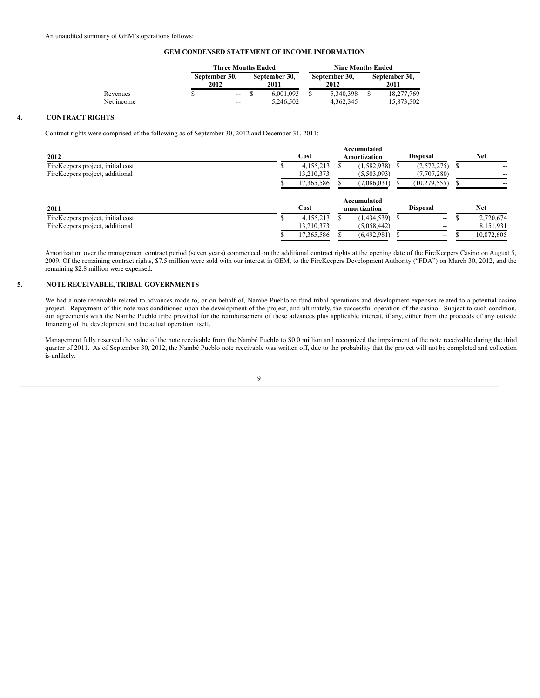#### **GEM CONDENSED STATEMENT OF INCOME INFORMATION**

|            |                       | <b>Three Months Ended</b>                           |  |                       |   | <b>Nine Months Ended</b> |                       |
|------------|-----------------------|-----------------------------------------------------|--|-----------------------|---|--------------------------|-----------------------|
|            | September 30,<br>2012 |                                                     |  | September 30,<br>2011 |   | September 30,<br>2012    | September 30,<br>2011 |
| Revenues   |                       | $\hspace{0.05cm} -\hspace{0.05cm} -\hspace{0.05cm}$ |  | 6.001.093             | S | 5.340.398                | 18.277.769            |
| Net income |                       | --                                                  |  | 5,246,502             |   | 4.362.345                | 15.873.502            |

# **4. CONTRACT RIGHTS**

Contract rights were comprised of the following as of September 30, 2012 and December 31, 2011:

| 2012                              | Cost           | Accumulated<br>Amortization | <b>Disposal</b>          | <b>Net</b> |
|-----------------------------------|----------------|-----------------------------|--------------------------|------------|
| FireKeepers project, initial cost | 4,155,213<br>Φ | (1,582,938)                 | (2,572,275)              | $- -$      |
| FireKeepers project, additional   | 13,210,373     | (5,503,093)                 | (7,707,280)              |            |
|                                   | 17,365,586     | (7,086,031)                 | (10, 279, 555)           | $- -$      |
|                                   |                | Accumulated                 |                          |            |
| 2011                              | Cost           | amortization                | <b>Disposal</b>          | <b>Net</b> |
| FireKeepers project, initial cost | 4,155,213<br>Φ | (1,434,539)                 | $\overline{\phantom{a}}$ | 2,720,674  |
| FireKeepers project, additional   | 13,210,373     | (5,058,442)                 | $-$                      | 8,151,931  |

Amortization over the management contract period (seven years) commenced on the additional contract rights at the opening date of the FireKeepers Casino on August 5, 2009. Of the remaining contract rights, \$7.5 million were sold with our interest in GEM, to the FireKeepers Development Authority ("FDA") on March 30, 2012, and the remaining \$2.8 million were expensed.

# **5. NOTE RECEIVABLE, TRIBAL GOVERNMENTS**

We had a note receivable related to advances made to, or on behalf of, Nambé Pueblo to fund tribal operations and development expenses related to a potential casino project. Repayment of this note was conditioned upon the development of the project, and ultimately, the successful operation of the casino. Subject to such condition, our agreements with the Nambé Pueblo tribe provided for the reimbursement of these advances plus applicable interest, if any, either from the proceeds of any outside financing of the development and the actual operation itself.

Management fully reserved the value of the note receivable from the Nambé Pueblo to \$0.0 million and recognized the impairment of the note receivable during the third quarter of 2011. As of September 30, 2012, the Nambé Pueblo note receivable was written off, due to the probability that the project will not be completed and collection is unlikely.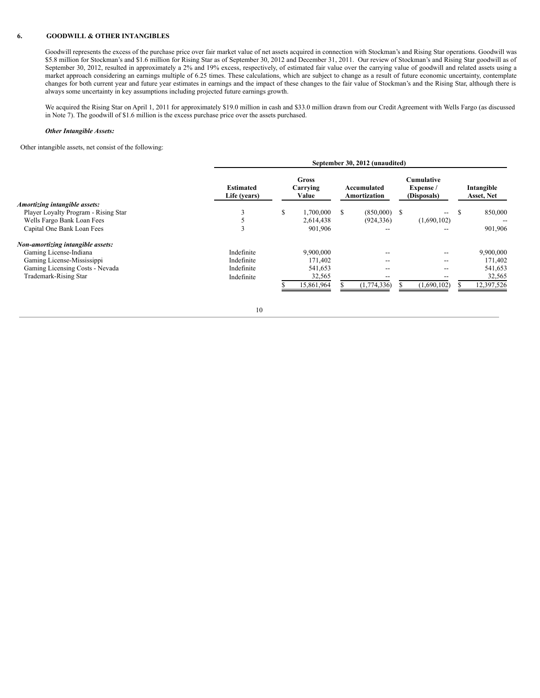### **6. GOODWILL & OTHER INTANGIBLES**

Goodwill represents the excess of the purchase price over fair market value of net assets acquired in connection with Stockman's and Rising Star operations. Goodwill was \$5.8 million for Stockman's and \$1.6 million for Rising Star as of September 30, 2012 and December 31, 2011. Our review of Stockman's and Rising Star goodwill as of September 30, 2012, resulted in approximately a 2% and 19% excess, respectively, of estimated fair value over the carrying value of goodwill and related assets using a market approach considering an earnings multiple of 6.25 times. These calculations, which are subject to change as a result of future economic uncertainty, contemplate changes for both current year and future year estimates in earnings and the impact of these changes to the fair value of Stockman's and the Rising Star, although there is always some uncertainty in key assumptions including projected future earnings growth.

We acquired the Rising Star on April 1, 2011 for approximately \$19.0 million in cash and \$33.0 million drawn from our Credit Agreement with Wells Fargo (as discussed in Note 7). The goodwill of \$1.6 million is the excess purchase price over the assets purchased.

# *Other Intangible Assets:*

Other intangible assets, net consist of the following:

|                                      |                                  |   |                                   |     | September 30, 2012 (unaudited)     |                                        |    |                          |
|--------------------------------------|----------------------------------|---|-----------------------------------|-----|------------------------------------|----------------------------------------|----|--------------------------|
|                                      | <b>Estimated</b><br>Life (years) |   | <b>Gross</b><br>Carrying<br>Value |     | Accumulated<br><b>Amortization</b> | Cumulative<br>Expense /<br>(Disposals) |    | Intangible<br>Asset, Net |
| Amortizing intangible assets:        |                                  |   |                                   |     |                                    |                                        |    |                          |
| Player Loyalty Program - Rising Star |                                  | S | 1,700,000                         | \$. | $(850,000)$ \$                     | $\overline{\phantom{a}}$               | £. | 850,000                  |
| Wells Fargo Bank Loan Fees           |                                  |   | 2,614,438                         |     | (924, 336)                         | (1,690,102)                            |    | $- -$                    |
| Capital One Bank Loan Fees           | Ć                                |   | 901,906                           |     | --                                 | $- -$                                  |    | 901,906                  |
| Non-amortizing intangible assets:    |                                  |   |                                   |     |                                    |                                        |    |                          |
| Gaming License-Indiana               | Indefinite                       |   | 9.900.000                         |     | $- -$                              | $- -$                                  |    | 9,900,000                |
| Gaming License-Mississippi           | Indefinite                       |   | 171,402                           |     | $- -$                              | $\overline{\phantom{a}}$               |    | 171,402                  |
| Gaming Licensing Costs - Nevada      | Indefinite                       |   | 541,653                           |     | --                                 | $- -$                                  |    | 541,653                  |
| <b>Trademark-Rising Star</b>         | Indefinite                       |   | 32,565                            |     | $\qquad \qquad -$                  | $\qquad \qquad -$                      |    | 32,565                   |
|                                      |                                  |   | 15,861,964                        |     | (1,774,336)                        | (1,690,102)                            |    | 12,397,526               |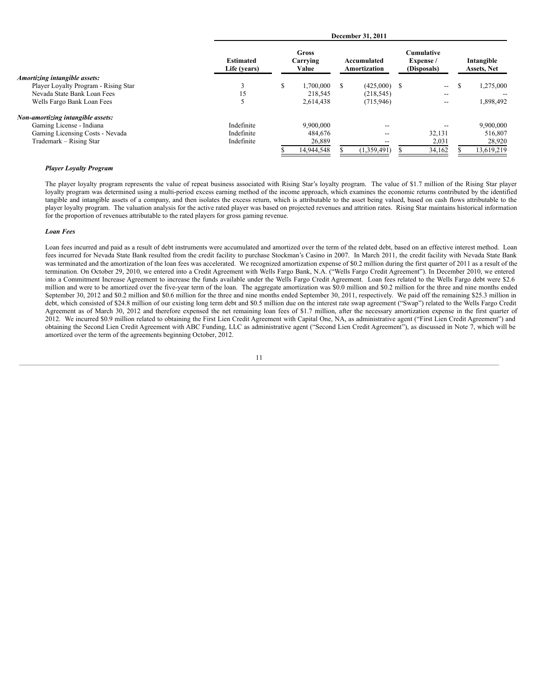|                                      | <b>Estimated</b><br>Life (years) |   |            | Gross<br>Carrying<br>Accumulated<br>Value<br>Amortization |             |    | <b>Cumulative</b><br>Expense /<br>(Disposals) | Intangible<br>Assets, Net |
|--------------------------------------|----------------------------------|---|------------|-----------------------------------------------------------|-------------|----|-----------------------------------------------|---------------------------|
| Amortizing intangible assets:        |                                  |   |            |                                                           |             |    |                                               |                           |
| Player Loyalty Program - Rising Star |                                  | S | 1.700.000  | -S                                                        | (425,000)   | -S | $- -$                                         | 1,275,000                 |
| Nevada State Bank Loan Fees          | 15                               |   | 218,545    |                                                           | (218, 545)  |    | $\overline{\phantom{m}}$                      | $- -$                     |
| Wells Fargo Bank Loan Fees           | 5                                |   | 2,614,438  |                                                           | (715, 946)  |    | $\overline{\phantom{a}}$                      | 1,898,492                 |
| Non-amortizing intangible assets:    |                                  |   |            |                                                           |             |    |                                               |                           |
| Gaming License - Indiana             | Indefinite                       |   | 9,900,000  |                                                           | $- -$       |    | $- -$                                         | 9,900,000                 |
| Gaming Licensing Costs - Nevada      | Indefinite                       |   | 484,676    |                                                           | --          |    | 32,131                                        | 516,807                   |
| Trademark – Rising Star              | Indefinite                       |   | 26,889     |                                                           | $- -$       |    | 2,031                                         | 28,920                    |
|                                      |                                  |   | 14,944,548 |                                                           | (1,359,491) |    | 34,162                                        | 13,619,219                |

**December 31, 2011**

#### *Player Loyalty Program*

The player loyalty program represents the value of repeat business associated with Rising Star's loyalty program. The value of \$1.7 million of the Rising Star player loyalty program was determined using a multi-period excess earning method of the income approach, which examines the economic returns contributed by the identified tangible and intangible assets of a company, and then isolates the excess return, which is attributable to the asset being valued, based on cash flows attributable to the player loyalty program. The valuation analysis for the active rated player was based on projected revenues and attrition rates. Rising Star maintains historical information for the proportion of revenues attributable to the rated players for gross gaming revenue.

#### *Loan Fees*

Loan fees incurred and paid as a result of debt instruments were accumulated and amortized over the term of the related debt, based on an effective interest method. Loan fees incurred for Nevada State Bank resulted from the credit facility to purchase Stockman's Casino in 2007. In March 2011, the credit facility with Nevada State Bank was terminated and the amortization of the loan fees was accelerated. We recognized amortization expense of \$0.2 million during the first quarter of 2011 as a result of the termination. On October 29, 2010, we entered into a Credit Agreement with Wells Fargo Bank, N.A. ("Wells Fargo Credit Agreement"). In December 2010, we entered into a Commitment Increase Agreement to increase the funds available under the Wells Fargo Credit Agreement. Loan fees related to the Wells Fargo debt were \$2.6 million and were to be amortized over the five-year term of the loan. The aggregate amortization was \$0.0 million and \$0.2 million for the three and nine months ended September 30, 2012 and \$0.2 million and \$0.6 million for the three and nine months ended September 30, 2011, respectively. We paid off the remaining \$25.3 million in debt, which consisted of \$24.8 million of our existing long term debt and \$0.5 million due on the interest rate swap agreement ("Swap") related to the Wells Fargo Credit Agreement as of March 30, 2012 and therefore expensed the net remaining loan fees of \$1.7 million, after the necessary amortization expense in the first quarter of 2012. We incurred \$0.9 million related to obtaining the First Lien Credit Agreement with Capital One, NA, as administrative agent ("First Lien Credit Agreement") and obtaining the Second Lien Credit Agreement with ABC Funding, LLC as administrative agent ("Second Lien Credit Agreement"), as discussed in Note 7, which will be amortized over the term of the agreements beginning October, 2012.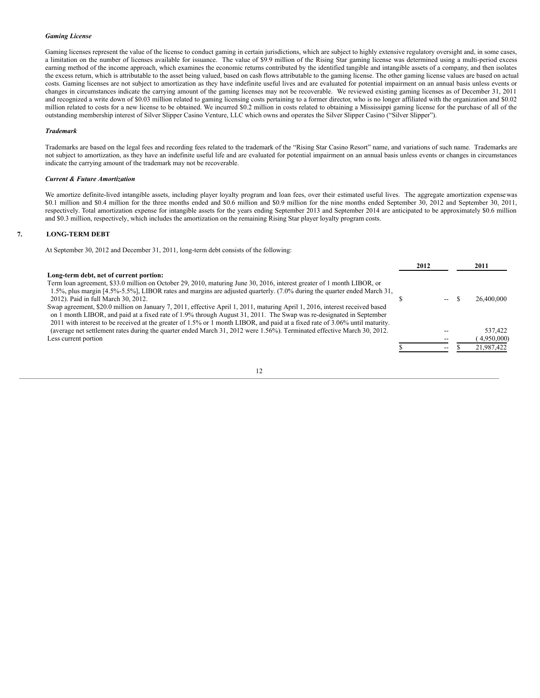#### *Gaming License*

Gaming licenses represent the value of the license to conduct gaming in certain jurisdictions, which are subject to highly extensive regulatory oversight and, in some cases, a limitation on the number of licenses available for issuance. The value of \$9.9 million of the Rising Star gaming license was determined using a multi-period excess earning method of the income approach, which examines the economic returns contributed by the identified tangible and intangible assets of a company, and then isolates the excess return, which is attributable to the asset being valued, based on cash flows attributable to the gaming license. The other gaming license values are based on actual costs. Gaming licenses are not subject to amortization as they have indefinite useful lives and are evaluated for potential impairment on an annual basis unless events or changes in circumstances indicate the carrying amount of the gaming licenses may not be recoverable. We reviewed existing gaming licenses as of December 31, 2011 and recognized a write down of \$0.03 million related to gaming licensing costs pertaining to a former director, who is no longer affiliated with the organization and \$0.02 million related to costs for a new license to be obtained. We incurred \$0.2 million in costs related to obtaining a Mississippi gaming license for the purchase of all of the outstanding membership interest of Silver Slipper Casino Venture, LLC which owns and operates the Silver Slipper Casino ("Silver Slipper").

#### *Trademark*

Trademarks are based on the legal fees and recording fees related to the trademark of the "Rising Star Casino Resort" name, and variations of such name. Trademarks are not subject to amortization, as they have an indefinite useful life and are evaluated for potential impairment on an annual basis unless events or changes in circumstances indicate the carrying amount of the trademark may not be recoverable.

#### *Current & Future Amortization*

We amortize definite-lived intangible assets, including player loyalty program and loan fees, over their estimated useful lives. The aggregate amortization expensewas \$0.1 million and \$0.4 million for the three months ended and \$0.6 million and \$0.9 million for the nine months ended September 30, 2012 and September 30, 2011, respectively. Total amortization expense for intangible assets for the years ending September 2013 and September 2014 are anticipated to be approximately \$0.6 million and \$0.3 million, respectively, which includes the amortization on the remaining Rising Star player loyalty program costs.

#### **7. LONG-TERM DEBT**

At September 30, 2012 and December 31, 2011, long-term debt consists of the following:

|                                                                                                                                                                                                                                                     | 2012 |       | 2011        |
|-----------------------------------------------------------------------------------------------------------------------------------------------------------------------------------------------------------------------------------------------------|------|-------|-------------|
| Long-term debt, net of current portion:                                                                                                                                                                                                             |      |       |             |
| Term loan agreement, \$33.0 million on October 29, 2010, maturing June 30, 2016, interest greater of 1 month LIBOR, or<br>1.5%, plus margin [4.5%-5.5%], LIBOR rates and margins are adjusted quarterly. (7.0% during the quarter ended March 31,   |      |       |             |
| 2012). Paid in full March 30, 2012.                                                                                                                                                                                                                 |      | $- -$ | 26,400,000  |
| Swap agreement, \$20.0 million on January 7, 2011, effective April 1, 2011, maturing April 1, 2016, interest received based                                                                                                                         |      |       |             |
| on 1 month LIBOR, and paid at a fixed rate of 1.9% through August 31, 2011. The Swap was re-designated in September<br>2011 with interest to be received at the greater of 1.5% or 1 month LIBOR, and paid at a fixed rate of 3.06% until maturity. |      |       |             |
| (average net settlement rates during the quarter ended March 31, 2012 were 1.56%). Terminated effective March 30, 2012.                                                                                                                             |      |       | 537,422     |
| Less current portion                                                                                                                                                                                                                                |      |       | (4,950,000) |
|                                                                                                                                                                                                                                                     |      | $- -$ | 21,987,422  |
|                                                                                                                                                                                                                                                     |      |       |             |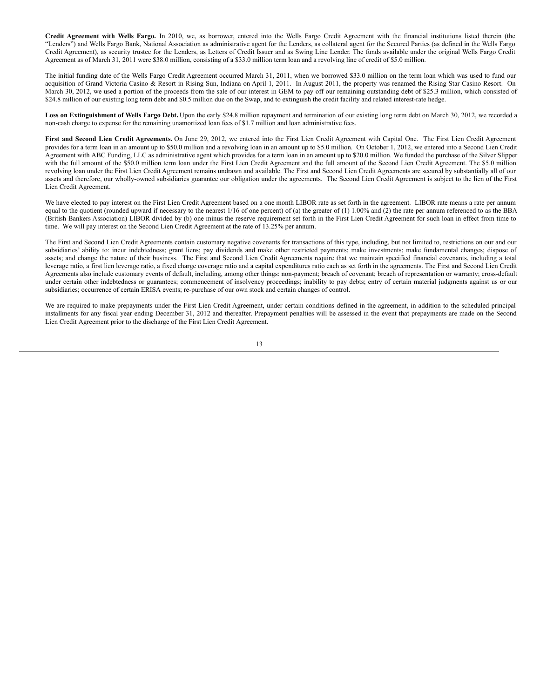**Credit Agreement with Wells Fargo.** In 2010, we, as borrower, entered into the Wells Fargo Credit Agreement with the financial institutions listed therein (the "Lenders") and Wells Fargo Bank, National Association as administrative agent for the Lenders, as collateral agent for the Secured Parties (as defined in the Wells Fargo Credit Agreement), as security trustee for the Lenders, as Letters of Credit Issuer and as Swing Line Lender. The funds available under the original Wells Fargo Credit Agreement as of March 31, 2011 were \$38.0 million, consisting of a \$33.0 million term loan and a revolving line of credit of \$5.0 million.

The initial funding date of the Wells Fargo Credit Agreement occurred March 31, 2011, when we borrowed \$33.0 million on the term loan which was used to fund our acquisition of Grand Victoria Casino & Resort in Rising Sun, Indiana on April 1, 2011. In August 2011, the property was renamed the Rising Star Casino Resort. On March 30, 2012, we used a portion of the proceeds from the sale of our interest in GEM to pay off our remaining outstanding debt of \$25.3 million, which consisted of \$24.8 million of our existing long term debt and \$0.5 million due on the Swap, and to extinguish the credit facility and related interest-rate hedge.

**Loss on Extinguishment of Wells Fargo Debt.** Upon the early \$24.8 million repayment and termination of our existing long term debt on March 30, 2012, we recorded a non-cash charge to expense for the remaining unamortized loan fees of \$1.7 million and loan administrative fees.

**First and Second Lien Credit Agreements.** On June 29, 2012, we entered into the First Lien Credit Agreement with Capital One. The First Lien Credit Agreement provides for a term loan in an amount up to \$50.0 million and a revolving loan in an amount up to \$5.0 million. On October 1, 2012, we entered into a Second Lien Credit Agreement with ABC Funding, LLC as administrative agent which provides for a term loan in an amount up to \$20.0 million. We funded the purchase of the Silver Slipper with the full amount of the \$50.0 million term loan under the First Lien Credit Agreement and the full amount of the Second Lien Credit Agreement. The \$5.0 million revolving loan under the First Lien Credit Agreement remains undrawn and available. The First and Second Lien Credit Agreements are secured by substantially all of our assets and therefore, our wholly-owned subsidiaries guarantee our obligation under the agreements. The Second Lien Credit Agreement is subject to the lien of the First Lien Credit Agreement.

We have elected to pay interest on the First Lien Credit Agreement based on a one month LIBOR rate as set forth in the agreement. LIBOR rate means a rate per annum equal to the quotient (rounded upward if necessary to the nearest 1/16 of one percent) of (a) the greater of (1) 1.00% and (2) the rate per annum referenced to as the BBA (British Bankers Association) LIBOR divided by (b) one minus the reserve requirement set forth in the First Lien Credit Agreement for such loan in effect from time to time. We will pay interest on the Second Lien Credit Agreement at the rate of 13.25% per annum.

The First and Second Lien Credit Agreements contain customary negative covenants for transactions of this type, including, but not limited to, restrictions on our and our subsidiaries' ability to: incur indebtedness; grant liens; pay dividends and make other restricted payments; make investments; make fundamental changes; dispose of assets; and change the nature of their business. The First and Second Lien Credit Agreements require that we maintain specified financial covenants, including a total leverage ratio, a first lien leverage ratio, a fixed charge coverage ratio and a capital expenditures ratio each as set forth in the agreements. The First and Second Lien Credit Agreements also include customary events of default, including, among other things: non-payment; breach of covenant; breach of representation or warranty; cross-default under certain other indebtedness or guarantees; commencement of insolvency proceedings; inability to pay debts; entry of certain material judgments against us or our subsidiaries; occurrence of certain ERISA events; re-purchase of our own stock and certain changes of control.

We are required to make prepayments under the First Lien Credit Agreement, under certain conditions defined in the agreement, in addition to the scheduled principal installments for any fiscal year ending December 31, 2012 and thereafter. Prepayment penalties will be assessed in the event that prepayments are made on the Second Lien Credit Agreement prior to the discharge of the First Lien Credit Agreement.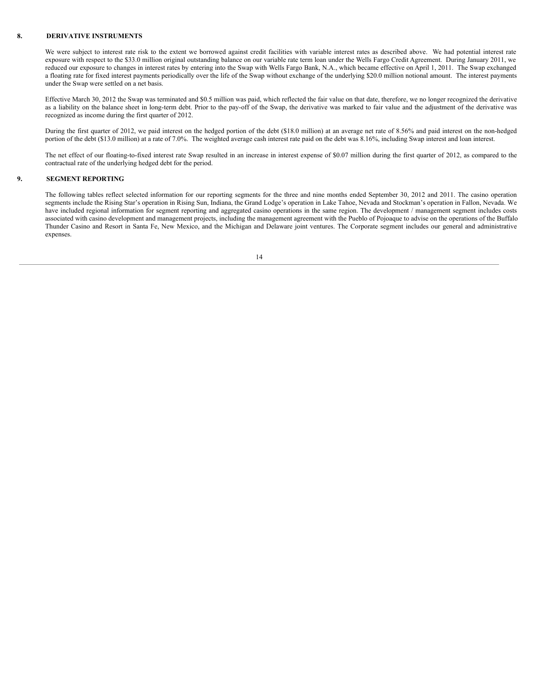## **8. DERIVATIVE INSTRUMENTS**

We were subject to interest rate risk to the extent we borrowed against credit facilities with variable interest rates as described above. We had potential interest rate exposure with respect to the \$33.0 million original outstanding balance on our variable rate term loan under the Wells Fargo Credit Agreement. During January 2011, we reduced our exposure to changes in interest rates by entering into the Swap with Wells Fargo Bank, N.A., which became effective on April 1, 2011. The Swap exchanged a floating rate for fixed interest payments periodically over the life of the Swap without exchange of the underlying \$20.0 million notional amount. The interest payments under the Swap were settled on a net basis.

Effective March 30, 2012 the Swap was terminated and \$0.5 million was paid, which reflected the fair value on that date, therefore, we no longer recognized the derivative as a liability on the balance sheet in long-term debt. Prior to the pay-off of the Swap, the derivative was marked to fair value and the adjustment of the derivative was recognized as income during the first quarter of 2012.

During the first quarter of 2012, we paid interest on the hedged portion of the debt (\$18.0 million) at an average net rate of 8.56% and paid interest on the non-hedged portion of the debt (\$13.0 million) at a rate of 7.0%. The weighted average cash interest rate paid on the debt was 8.16%, including Swap interest and loan interest.

The net effect of our floating-to-fixed interest rate Swap resulted in an increase in interest expense of \$0.07 million during the first quarter of 2012, as compared to the contractual rate of the underlying hedged debt for the period.

#### **9. SEGMENT REPORTING**

The following tables reflect selected information for our reporting segments for the three and nine months ended September 30, 2012 and 2011. The casino operation segments include the Rising Star's operation in Rising Sun, Indiana, the Grand Lodge's operation in Lake Tahoe, Nevada and Stockman's operation in Fallon, Nevada. We have included regional information for segment reporting and aggregated casino operations in the same region. The development / management segment includes costs associated with casino development and management projects, including the management agreement with the Pueblo of Pojoaque to advise on the operations of the Buffalo Thunder Casino and Resort in Santa Fe, New Mexico, and the Michigan and Delaware joint ventures. The Corporate segment includes our general and administrative expenses.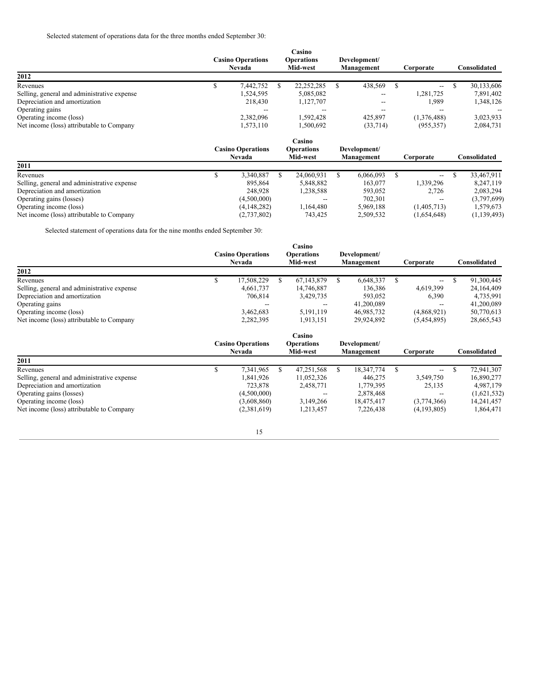|                                             |                                           |           |          | Casino            |            |                                       |           |                          |              |
|---------------------------------------------|-------------------------------------------|-----------|----------|-------------------|------------|---------------------------------------|-----------|--------------------------|--------------|
|                                             | <b>Casino Operations</b><br><b>Nevada</b> |           |          | <b>Operations</b> |            | Development/                          |           |                          |              |
|                                             |                                           |           | Mid-west |                   | Management |                                       | Corporate |                          | Consolidated |
| 2012                                        |                                           |           |          |                   |            |                                       |           |                          |              |
| Revenues                                    |                                           | 7.442.752 |          | 22.252.285        |            | 438.569                               |           | $\overline{\phantom{a}}$ | 30,133,606   |
| Selling, general and administrative expense |                                           | 1,524,595 |          | 5,085,082         |            | $\overline{\phantom{m}}$              |           | 1,281,725                | 7,891,402    |
| Depreciation and amortization               |                                           | 218,430   |          | 1,127,707         |            | $\hspace{0.05cm}$ – $\hspace{0.05cm}$ |           | 1.989                    | 1,348,126    |
| Operating gains                             |                                           | $- -$     |          | $- -$             |            | $- -$                                 |           | $- -$                    |              |
| Operating income (loss)                     |                                           | 2,382,096 |          | 1.592.428         |            | 425.897                               |           | (1,376,488)              | 3,023,933    |
| Net income (loss) attributable to Company   |                                           | 1,573,110 |          | 1,500,692         |            | (33,714)                              |           | (955, 357)               | 2,084,731    |

|                                             | <b>Casino Operations</b><br>Nevada |             | Casino<br><b>Operations</b><br>Mid-west |            | Development/<br>Management |           | Corporate   | Consolidated |               |  |
|---------------------------------------------|------------------------------------|-------------|-----------------------------------------|------------|----------------------------|-----------|-------------|--------------|---------------|--|
| 2011                                        |                                    |             |                                         |            |                            |           |             |              |               |  |
| Revenues                                    |                                    | 3.340.887   |                                         | 24,060,931 |                            | 6.066.093 | $\sim$ $-$  |              | 33,467,911    |  |
| Selling, general and administrative expense |                                    | 895,864     |                                         | 5.848.882  |                            | 163,077   | 1,339,296   |              | 8,247,119     |  |
| Depreciation and amortization               |                                    | 248,928     |                                         | 1.238.588  |                            | 593.052   | 2.726       |              | 2,083,294     |  |
| Operating gains (losses)                    |                                    | (4,500,000) |                                         | $- -$      |                            | 702.301   | $- -$       |              | (3,797,699)   |  |
| Operating income (loss)                     |                                    | (4,148,282) |                                         | 1.164.480  |                            | 5.969.188 | (1,405,713) |              | 1,579,673     |  |
| Net income (loss) attributable to Company   |                                    | (2,737,802) |                                         | 743.425    |                            | 2.509.532 | (1,654,648) |              | (1, 139, 493) |  |

Selected statement of operations data for the nine months ended September 30:

|                                             | <b>Casino Operations</b><br><b>Nevada</b> |                          | Casino<br><b>Operations</b><br>Mid-west | Development/<br>Management |            | Corporate                             | Consolidated |            |  |
|---------------------------------------------|-------------------------------------------|--------------------------|-----------------------------------------|----------------------------|------------|---------------------------------------|--------------|------------|--|
| 2012                                        |                                           |                          |                                         |                            |            |                                       |              |            |  |
| Revenues                                    | Ф                                         | 17,508,229               | 67, 143, 879                            | S                          | 6,648,337  | $\overline{\phantom{a}}$              |              | 91,300,445 |  |
| Selling, general and administrative expense |                                           | 4.661.737                | 14,746,887                              |                            | 136.386    | 4,619,399                             |              | 24,164,409 |  |
| Depreciation and amortization               |                                           | 706.814                  | 3,429,735                               |                            | 593.052    | 6,390                                 |              | 4,735,991  |  |
| Operating gains                             |                                           | $\overline{\phantom{m}}$ | $- -$                                   |                            | 41,200,089 | $\hspace{0.05cm}$ – $\hspace{0.05cm}$ |              | 41,200,089 |  |
| Operating income (loss)                     |                                           | 3,462,683                | 5.191.119                               |                            | 46.985.732 | (4,868,921)                           |              | 50,770,613 |  |
| Net income (loss) attributable to Company   |                                           | 2,282,395                | 1,913,151                               |                            | 29.924.892 | (5,454,895)                           |              | 28,665,543 |  |

|                                             |   | <b>Casino Operations</b><br>Nevada | Casino<br><b>Operations</b><br>Mid-west |            | Development/<br>Management |            | Corporate |             | Consolidated |             |
|---------------------------------------------|---|------------------------------------|-----------------------------------------|------------|----------------------------|------------|-----------|-------------|--------------|-------------|
| 2011                                        |   |                                    |                                         |            |                            |            |           |             |              |             |
| Revenues                                    | Φ | 7.341.965                          |                                         | 47,251,568 | ъ                          | 18,347,774 |           | $\sim$      |              | 72,941,307  |
| Selling, general and administrative expense |   | 1.841.926                          |                                         | 11.052.326 |                            | 446,275    |           | 3,549,750   |              | 16,890,277  |
| Depreciation and amortization               |   | 723,878                            |                                         | 2,458,771  |                            | 1,779,395  |           | 25,135      |              | 4.987.179   |
| Operating gains (losses)                    |   | (4,500,000)                        |                                         | $- -$      |                            | 2,878,468  |           | $- -$       |              | (1,621,532) |
| Operating income (loss)                     |   | (3,608,860)                        |                                         | 3,149,266  |                            | 18,475,417 |           | (3,774,366) |              | 14,241,457  |
| Net income (loss) attributable to Company   |   | (2,381,619)                        |                                         | 1,213,457  |                            | 7,226,438  |           | (4,193,805) |              | 1,864,471   |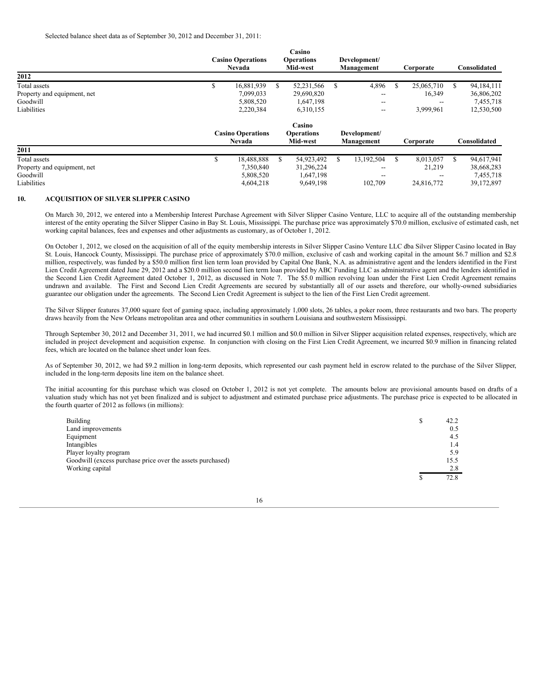|                             |               |                                    |   | Casino                        |    |                                       |    |            |    |              |
|-----------------------------|---------------|------------------------------------|---|-------------------------------|----|---------------------------------------|----|------------|----|--------------|
|                             |               | <b>Casino Operations</b>           |   | <b>Operations</b>             |    | Development/                          |    |            |    |              |
|                             | <b>Nevada</b> |                                    |   | Mid-west                      |    | Management                            |    | Corporate  |    | Consolidated |
| 2012                        |               |                                    |   |                               |    |                                       |    |            |    |              |
| Total assets                | \$            | 16,881,939                         |   | 52,231,566                    |    | 4,896                                 |    | 25,065,710 | S  | 94,184,111   |
| Property and equipment, net |               | 7.099.033                          |   | 29,690,820                    |    | $\hspace{0.05cm}$ – $\hspace{0.05cm}$ |    | 16,349     |    | 36,806,202   |
| Goodwill                    |               | 5,808,520                          |   | 1,647,198                     |    | --                                    |    |            |    | 7,455,718    |
| Liabilities                 |               | 2,220,384                          |   | 6,310,155                     |    | --                                    |    | 3,999,961  |    | 12,530,500   |
|                             |               |                                    |   | Casino                        |    |                                       |    |            |    |              |
|                             |               | <b>Casino Operations</b><br>Nevada |   | <b>Operations</b><br>Mid-west |    | Development/<br>Management            |    | Corporate  |    | Consolidated |
| 2011                        |               |                                    |   |                               |    |                                       |    |            |    |              |
| Total assets                | ¢<br>D        | 18,488,888                         | S | 54,923,492                    | S. | 13,192,504                            | \$ | 8,013,057  | S. | 94,617,941   |
| Property and equipment, net |               | 7,350,840                          |   | 31,296,224                    |    | --                                    |    | 21,219     |    | 38,668,283   |
| Goodwill                    |               | 5,808,520                          |   | 1,647,198                     |    | --                                    |    |            |    | 7,455,718    |
| Liabilities                 |               | 4.604.218                          |   | 9,649,198                     |    | 102,709                               |    | 24,816,772 |    | 39.172.897   |

# **10. ACQUISITION OF SILVER SLIPPER CASINO**

On March 30, 2012, we entered into a Membership Interest Purchase Agreement with Silver Slipper Casino Venture, LLC to acquire all of the outstanding membership interest of the entity operating the Silver Slipper Casino in Bay St. Louis, Mississippi. The purchase price was approximately \$70.0 million, exclusive of estimated cash, net working capital balances, fees and expenses and other adjustments as customary, as of October 1, 2012.

On October 1, 2012, we closed on the acquisition of all of the equity membership interests in Silver Slipper Casino Venture LLC dba Silver Slipper Casino located in Bay St. Louis, Hancock County, Mississippi. The purchase price of approximately \$70.0 million, exclusive of cash and working capital in the amount \$6.7 million and \$2.8 million, respectively, was funded by a \$50.0 million first lien term loan provided by Capital One Bank, N.A. as administrative agent and the lenders identified in the First Lien Credit Agreement dated June 29, 2012 and a \$20.0 million second lien term loan provided by ABC Funding LLC as administrative agent and the lenders identified in the Second Lien Credit Agreement dated October 1, 2012, as discussed in Note 7. The \$5.0 million revolving loan under the First Lien Credit Agreement remains undrawn and available. The First and Second Lien Credit Agreements are secured by substantially all of our assets and therefore, our wholly-owned subsidiaries guarantee our obligation under the agreements. The Second Lien Credit Agreement is subject to the lien of the First Lien Credit agreement.

The Silver Slipper features 37,000 square feet of gaming space, including approximately 1,000 slots, 26 tables, a poker room, three restaurants and two bars. The property draws heavily from the New Orleans metropolitan area and other communities in southern Louisiana and southwestern Mississippi.

Through September 30, 2012 and December 31, 2011, we had incurred \$0.1 million and \$0.0 million in Silver Slipper acquisition related expenses, respectively, which are included in project development and acquisition expense. In conjunction with closing on the First Lien Credit Agreement, we incurred \$0.9 million in financing related fees, which are located on the balance sheet under loan fees.

As of September 30, 2012, we had \$9.2 million in long-term deposits, which represented our cash payment held in escrow related to the purchase of the Silver Slipper, included in the long-term deposits line item on the balance sheet.

The initial accounting for this purchase which was closed on October 1, 2012 is not yet complete. The amounts below are provisional amounts based on drafts of a valuation study which has not yet been finalized and is subject to adjustment and estimated purchase price adjustments. The purchase price is expected to be allocated in the fourth quarter of 2012 as follows (in millions):

| Building                                                   | 42.2 |
|------------------------------------------------------------|------|
| Land improvements                                          | 0.5  |
| Equipment                                                  | 4.5  |
| Intangibles                                                | 1.4  |
| Player loyalty program                                     | 5.9  |
| Goodwill (excess purchase price over the assets purchased) | 15.5 |
| Working capital                                            | 2.8  |
|                                                            | 72.8 |

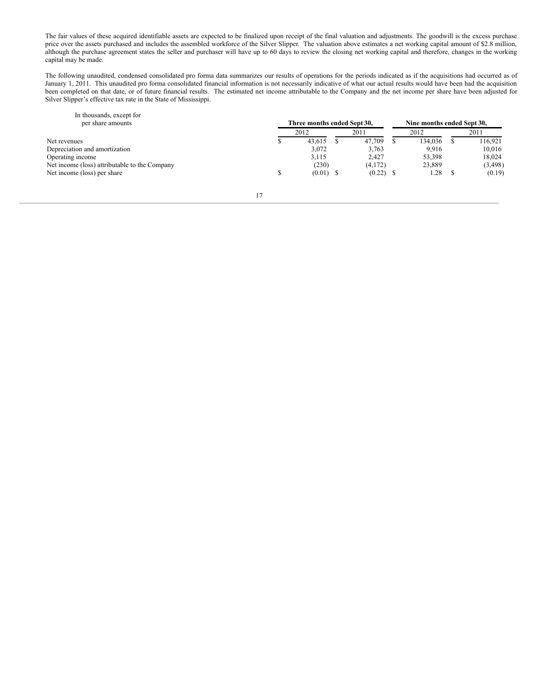The fair values of these acquired identifiable assets are expected to be finalized upon receipt of the final valuation and adjustments. The goodwill is the excess purchase price over the assets purchased and includes the assembled workforce of the Silver Slipper. The valuation above estimates a net working capital amount of \$2.8 million, although the purchase agreement states the seller and purchaser will have up to 60 days to review the closing net working capital and therefore, changes in the working capital may be made.

The following unaudited, condensed consolidated pro forma data summarizes our results of operations for the periods indicated as if the acquisitions had occurred as of January 1, 2011. This unaudited pro forma consolidated financial information is not necessarily indicative of what our actual results would have been had the acquisition been completed on that date, or of future financial results. The estimated net income attributable to the Company and the net income per share have been adjusted for Silver Slipper's effective tax rate in the State of Mississippi.

| per share amounts                             | Three months ended Sept 30, |  |             |  |         |  | Nine months ended Sept 30, |  |
|-----------------------------------------------|-----------------------------|--|-------------|--|---------|--|----------------------------|--|
|                                               | 2012                        |  | 2011        |  | 2012    |  | 2011                       |  |
| Net revenues                                  | 43.615                      |  | 47,709      |  | 134,036 |  | 116.921                    |  |
| Depreciation and amortization                 | 3.072                       |  | 3,763       |  | 9.916   |  | 10,016                     |  |
| Operating income                              | 3,115                       |  | 2.427       |  | 53,398  |  | 18,024                     |  |
| Net income (loss) attributable to the Company | (230)                       |  | (4,172)     |  | 23,889  |  | (3, 498)                   |  |
| Net income (loss) per share                   | $(0.01)$ \$                 |  | $(0.22)$ \$ |  | 1.28    |  | (0.19)                     |  |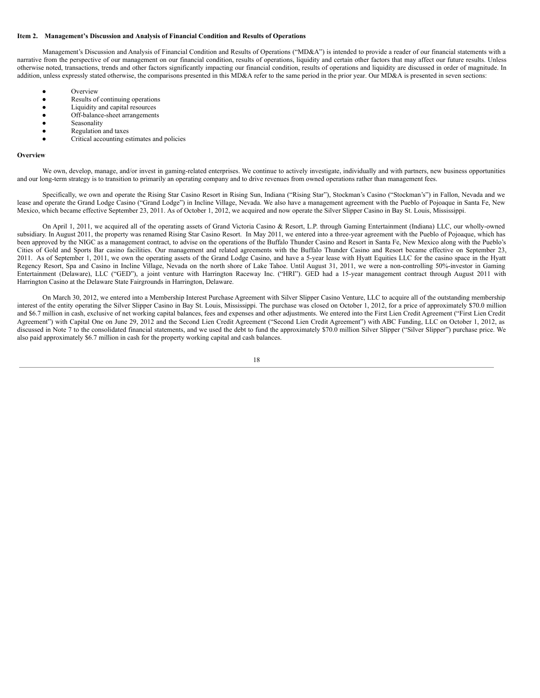#### **Item 2. Management's Discussion and Analysis of Financial Condition and Results of Operations**

Management's Discussion and Analysis of Financial Condition and Results of Operations ("MD&A") is intended to provide a reader of our financial statements with a narrative from the perspective of our management on our financial condition, results of operations, liquidity and certain other factors that may affect our future results. Unless otherwise noted, transactions, trends and other factors significantly impacting our financial condition, results of operations and liquidity are discussed in order of magnitude. In addition, unless expressly stated otherwise, the comparisons presented in this MD&A refer to the same period in the prior year. Our MD&A is presented in seven sections:

- **Overview**
- Results of continuing operations
- Liquidity and capital resources
- Off-balance-sheet arrangements
- Seasonality
- Regulation and taxes
- Critical accounting estimates and policies

#### **Overview**

We own, develop, manage, and/or invest in gaming-related enterprises. We continue to actively investigate, individually and with partners, new business opportunities and our long-term strategy is to transition to primarily an operating company and to drive revenues from owned operations rather than management fees.

Specifically, we own and operate the Rising Star Casino Resort in Rising Sun, Indiana ("Rising Star"), Stockman's Casino ("Stockman's") in Fallon, Nevada and we lease and operate the Grand Lodge Casino ("Grand Lodge") in Incline Village, Nevada. We also have a management agreement with the Pueblo of Pojoaque in Santa Fe, New Mexico, which became effective September 23, 2011. As of October 1, 2012, we acquired and now operate the Silver Slipper Casino in Bay St. Louis, Mississippi.

On April 1, 2011, we acquired all of the operating assets of Grand Victoria Casino & Resort, L.P. through Gaming Entertainment (Indiana) LLC, our wholly-owned subsidiary. In August 2011, the property was renamed Rising Star Casino Resort. In May 2011, we entered into a three-year agreement with the Pueblo of Pojoaque, which has been approved by the NIGC as a management contract, to advise on the operations of the Buffalo Thunder Casino and Resort in Santa Fe, New Mexico along with the Pueblo's Cities of Gold and Sports Bar casino facilities. Our management and related agreements with the Buffalo Thunder Casino and Resort became effective on September 23, 2011. As of September 1, 2011, we own the operating assets of the Grand Lodge Casino, and have a 5-year lease with Hyatt Equities LLC for the casino space in the Hyatt Regency Resort, Spa and Casino in Incline Village, Nevada on the north shore of Lake Tahoe. Until August 31, 2011, we were a non-controlling 50%-investor in Gaming Entertainment (Delaware), LLC ("GED"), a joint venture with Harrington Raceway Inc. ("HRI"). GED had a 15-year management contract through August 2011 with Harrington Casino at the Delaware State Fairgrounds in Harrington, Delaware.

On March 30, 2012, we entered into a Membership Interest Purchase Agreement with Silver Slipper Casino Venture, LLC to acquire all of the outstanding membership interest of the entity operating the Silver Slipper Casino in Bay St. Louis, Mississippi. The purchase was closed on October 1, 2012, for a price of approximately \$70.0 million and \$6.7 million in cash, exclusive of net working capital balances, fees and expenses and other adjustments. We entered into the First Lien Credit Agreement ("First Lien Credit Agreement") with Capital One on June 29, 2012 and the Second Lien Credit Agreement ("Second Lien Credit Agreement") with ABC Funding, LLC on October 1, 2012, as discussed in Note 7 to the consolidated financial statements, and we used the debt to fund the approximately \$70.0 million Silver Slipper ("Silver Slipper") purchase price. We also paid approximately \$6.7 million in cash for the property working capital and cash balances.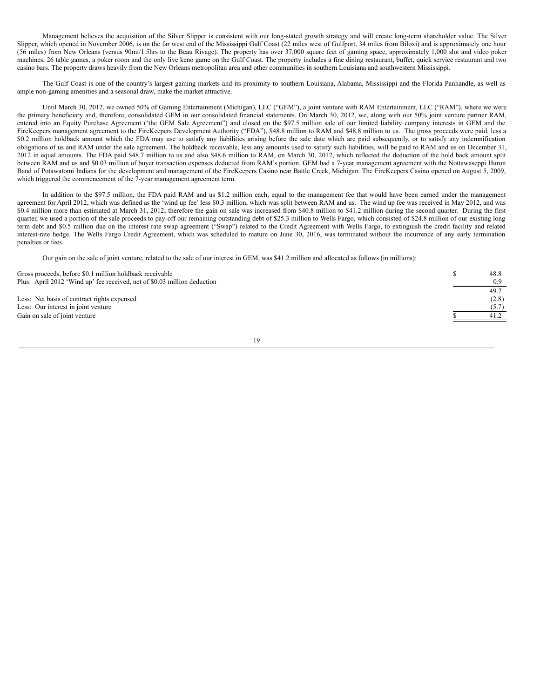Management believes the acquisition of the Silver Slipper is consistent with our long-stated growth strategy and will create long-term shareholder value. The Silver Slipper, which opened in November 2006, is on the far west end of the Mississippi Gulf Coast (22 miles west of Gulfport, 34 miles from Biloxi) and is approximately one hour (56 miles) from New Orleans (versus 90mi/1.5hrs to the Beau Rivage). The property has over 37,000 square feet of gaming space, approximately 1,000 slot and video poker machines, 26 table games, a poker room and the only live keno game on the Gulf Coast. The property includes a fine dining restaurant, buffet, quick service restaurant and two casino bars. The property draws heavily from the New Orleans metropolitan area and other communities in southern Louisiana and southwestern Mississippi.

The Gulf Coast is one of the country's largest gaming markets and its proximity to southern Louisiana, Alabama, Mississippi and the Florida Panhandle, as well as ample non-gaming amenities and a seasonal draw, make the market attractive.

Until March 30, 2012, we owned 50% of Gaming Entertainment (Michigan), LLC ("GEM"), a joint venture with RAM Entertainment, LLC ("RAM"), where we were the primary beneficiary and, therefore, consolidated GEM in our consolidated financial statements. On March 30, 2012, we, along with our 50% joint venture partner RAM, entered into an Equity Purchase Agreement ('the GEM Sale Agreement") and closed on the \$97.5 million sale of our limited liability company interests in GEM and the FireKeepers management agreement to the FireKeepers Development Authority ("FDA"), \$48.8 million to RAM and \$48.8 million to us. The gross proceeds were paid, less a \$0.2 million holdback amount which the FDA may use to satisfy any liabilities arising before the sale date which are paid subsequently, or to satisfy any indemnification obligations of us and RAM under the sale agreement. The holdback receivable, less any amounts used to satisfy such liabilities, will be paid to RAM and us on December 31, 2012 in equal amounts. The FDA paid \$48.7 million to us and also \$48.6 million to RAM, on March 30, 2012, which reflected the deduction of the hold back amount split between RAM and us and \$0.03 million of buyer transaction expenses deducted from RAM's portion. GEM had a 7-year management agreement with the Nottawaseppi Huron Band of Potawatomi Indians for the development and management of the FireKeepers Casino near Battle Creek, Michigan. The FireKeepers Casino opened on August 5, 2009, which triggered the commencement of the 7-year management agreement term.

In addition to the \$97.5 million, the FDA paid RAM and us \$1.2 million each, equal to the management fee that would have been earned under the management agreement for April 2012, which was defined as the 'wind up fee' less \$0.3 million, which was split between RAM and us. The wind up fee was received in May 2012, and was \$0.4 million more than estimated at March 31, 2012; therefore the gain on sale was increased from \$40.8 million to \$41.2 million during the second quarter. During the first quarter, we used a portion of the sale proceeds to pay-off our remaining outstanding debt of \$25.3 million to Wells Fargo, which consisted of \$24.8 million of our existing long term debt and \$0.5 million due on the interest rate swap agreement ("Swap") related to the Credit Agreement with Wells Fargo, to extinguish the credit facility and related interest-rate hedge. The Wells Fargo Credit Agreement, which was scheduled to mature on June 30, 2016, was terminated without the incurrence of any early termination penalties or fees.

Our gain on the sale of joint venture, related to the sale of our interest in GEM, was \$41.2 million and allocated as follows (in millions):

| Gross proceeds, before \$0.1 million holdback receivable                 | 48.8  |
|--------------------------------------------------------------------------|-------|
| Plus: April 2012 'Wind up' fee received, net of \$0.03 million deduction | 0.9   |
|                                                                          | 49.7  |
| Less: Net basis of contract rights expensed                              | (2.8) |
| Less: Our interest in joint venture                                      |       |
| Gain on sale of joint venture                                            | 41.2  |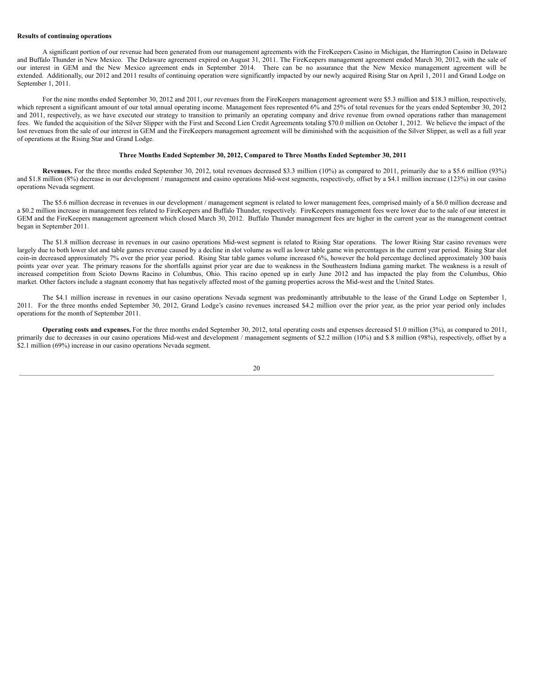#### **Results of continuing operations**

A significant portion of our revenue had been generated from our management agreements with the FireKeepers Casino in Michigan, the Harrington Casino in Delaware and Buffalo Thunder in New Mexico. The Delaware agreement expired on August 31, 2011. The FireKeepers management agreement ended March 30, 2012, with the sale of our interest in GEM and the New Mexico agreement ends in September 2014. There can be no assurance that the New Mexico management agreement will be extended. Additionally, our 2012 and 2011 results of continuing operation were significantly impacted by our newly acquired Rising Star on April 1, 2011 and Grand Lodge on September 1, 2011.

For the nine months ended September 30, 2012 and 2011, our revenues from the FireKeepers management agreement were \$5.3 million and \$18.3 million, respectively, which represent a significant amount of our total annual operating income. Management fees represented 6% and 25% of total revenues for the years ended September 30, 2012 and 2011, respectively, as we have executed our strategy to transition to primarily an operating company and drive revenue from owned operations rather than management fees. We funded the acquisition of the Silver Slipper with the First and Second Lien Credit Agreements totaling \$70.0 million on October 1, 2012. We believe the impact of the lost revenues from the sale of our interest in GEM and the FireKeepers management agreement will be diminished with the acquisition of the Silver Slipper, as well as a full year of operations at the Rising Star and Grand Lodge.

#### **Three Months Ended September 30, 2012, Compared to Three Months Ended September 30, 2011**

**Revenues.** For the three months ended September 30, 2012, total revenues decreased \$3.3 million (10%) as compared to 2011, primarily due to a \$5.6 million (93%) and \$1.8 million (8%) decrease in our development / management and casino operations Mid-west segments, respectively, offset by a \$4.1 million increase (123%) in our casino operations Nevada segment.

The \$5.6 million decrease in revenues in our development / management segment is related to lower management fees, comprised mainly of a \$6.0 million decrease and a \$0.2 million increase in management fees related to FireKeepers and Buffalo Thunder, respectively. FireKeepers management fees were lower due to the sale of our interest in GEM and the FireKeepers management agreement which closed March 30, 2012. Buffalo Thunder management fees are higher in the current year as the management contract began in September 2011.

The \$1.8 million decrease in revenues in our casino operations Mid-west segment is related to Rising Star operations. The lower Rising Star casino revenues were largely due to both lower slot and table games revenue caused by a decline in slot volume as well as lower table game win percentages in the current year period. Rising Star slot coin-in decreased approximately 7% over the prior year period. Rising Star table games volume increased 6%, however the hold percentage declined approximately 300 basis points year over year. The primary reasons for the shortfalls against prior year are due to weakness in the Southeastern Indiana gaming market. The weakness is a result of increased competition from Scioto Downs Racino in Columbus, Ohio. This racino opened up in early June 2012 and has impacted the play from the Columbus, Ohio market. Other factors include a stagnant economy that has negatively affected most of the gaming properties across the Mid-west and the United States.

The \$4.1 million increase in revenues in our casino operations Nevada segment was predominantly attributable to the lease of the Grand Lodge on September 1, 2011. For the three months ended September 30, 2012, Grand Lodge's casino revenues increased \$4.2 million over the prior year, as the prior year period only includes operations for the month of September 2011.

**Operating costs and expenses.** For the three months ended September 30, 2012, total operating costs and expenses decreased \$1.0 million (3%), as compared to 2011, primarily due to decreases in our casino operations Mid-west and development / management segments of \$2.2 million (10%) and \$.8 million (98%), respectively, offset by a \$2.1 million (69%) increase in our casino operations Nevada segment.

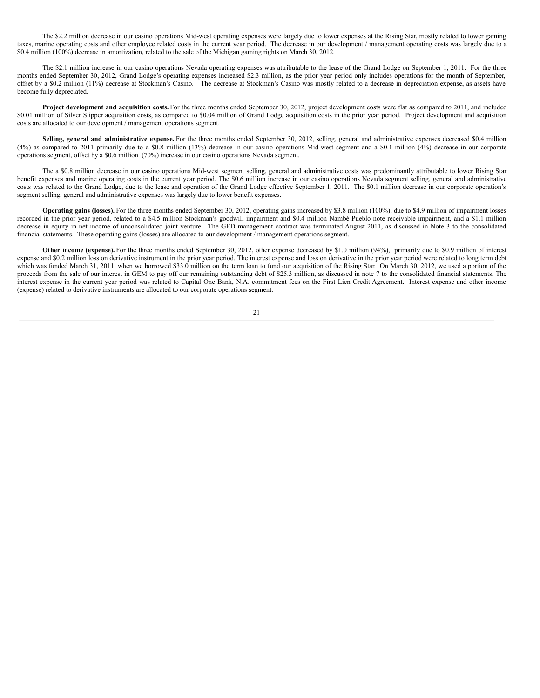The \$2.2 million decrease in our casino operations Mid-west operating expenses were largely due to lower expenses at the Rising Star, mostly related to lower gaming taxes, marine operating costs and other employee related costs in the current year period. The decrease in our development / management operating costs was largely due to a \$0.4 million (100%) decrease in amortization, related to the sale of the Michigan gaming rights on March 30, 2012.

The \$2.1 million increase in our casino operations Nevada operating expenses was attributable to the lease of the Grand Lodge on September 1, 2011. For the three months ended September 30, 2012, Grand Lodge's operating expenses increased \$2.3 million, as the prior year period only includes operations for the month of September, offset by a \$0.2 million (11%) decrease at Stockman's Casino. The decrease at Stockman's Casino was mostly related to a decrease in depreciation expense, as assets have become fully depreciated.

**Project development and acquisition costs.** For the three months ended September 30, 2012, project development costs were flat as compared to 2011, and included \$0.01 million of Silver Slipper acquisition costs, as compared to \$0.04 million of Grand Lodge acquisition costs in the prior year period. Project development and acquisition costs are allocated to our development / management operations segment.

**Selling, general and administrative expense.** For the three months ended September 30, 2012, selling, general and administrative expenses decreased \$0.4 million (4%) as compared to 2011 primarily due to a \$0.8 million (13%) decrease in our casino operations Mid-west segment and a \$0.1 million (4%) decrease in our corporate operations segment, offset by a \$0.6 million (70%) increase in our casino operations Nevada segment.

The a \$0.8 million decrease in our casino operations Mid-west segment selling, general and administrative costs was predominantly attributable to lower Rising Star benefit expenses and marine operating costs in the current year period. The \$0.6 million increase in our casino operations Nevada segment selling, general and administrative costs was related to the Grand Lodge, due to the lease and operation of the Grand Lodge effective September 1, 2011. The \$0.1 million decrease in our corporate operation's segment selling, general and administrative expenses was largely due to lower benefit expenses.

**Operating gains (losses).** For the three months ended September 30, 2012, operating gains increased by \$3.8 million (100%), due to \$4.9 million of impairment losses recorded in the prior year period, related to a \$4.5 million Stockman's goodwill impairment and \$0.4 million Nambé Pueblo note receivable impairment, and a \$1.1 million decrease in equity in net income of unconsolidated joint venture. The GED management contract was terminated August 2011, as discussed in Note 3 to the consolidated financial statements. These operating gains (losses) are allocated to our development / management operations segment.

**Other income (expense).** For the three months ended September 30, 2012, other expense decreased by \$1.0 million (94%), primarily due to \$0.9 million of interest expense and \$0.2 million loss on derivative instrument in the prior year period. The interest expense and loss on derivative in the prior year period were related to long term debt which was funded March 31, 2011, when we borrowed \$33.0 million on the term loan to fund our acquisition of the Rising Star. On March 30, 2012, we used a portion of the proceeds from the sale of our interest in GEM to pay off our remaining outstanding debt of \$25.3 million, as discussed in note 7 to the consolidated financial statements. The interest expense in the current year period was related to Capital One Bank, N.A. commitment fees on the First Lien Credit Agreement. Interest expense and other income (expense) related to derivative instruments are allocated to our corporate operations segment.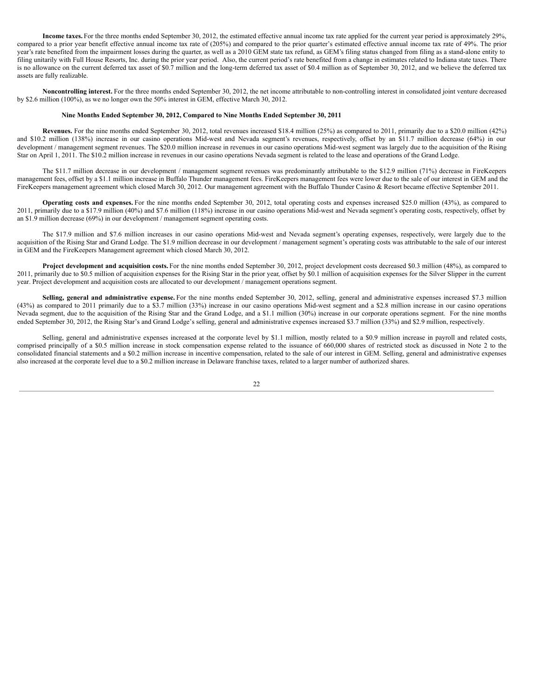**Income taxes.** For the three months ended September 30, 2012, the estimated effective annual income tax rate applied for the current year period is approximately 29%, compared to a prior year benefit effective annual income tax rate of (205%) and compared to the prior quarter's estimated effective annual income tax rate of 49%. The prior year's rate benefited from the impairment losses during the quarter, as well as a 2010 GEM state tax refund, as GEM's filing status changed from filing as a stand-alone entity to filing unitarily with Full House Resorts, Inc. during the prior year period. Also, the current period's rate benefited from a change in estimates related to Indiana state taxes. There is no allowance on the current deferred tax asset of \$0.7 million and the long-term deferred tax asset of \$0.4 million as of September 30, 2012, and we believe the deferred tax assets are fully realizable.

**Noncontrolling interest.** For the three months ended September 30, 2012, the net income attributable to non-controlling interest in consolidated joint venture decreased by \$2.6 million (100%), as we no longer own the 50% interest in GEM, effective March 30, 2012.

#### **Nine Months Ended September 30, 2012, Compared to Nine Months Ended September 30, 2011**

**Revenues.** For the nine months ended September 30, 2012, total revenues increased \$18.4 million (25%) as compared to 2011, primarily due to a \$20.0 million (42%) and \$10.2 million (138%) increase in our casino operations Mid-west and Nevada segment's revenues, respectively, offset by an \$11.7 million decrease (64%) in our development / management segment revenues. The \$20.0 million increase in revenues in our casino operations Mid-west segment was largely due to the acquisition of the Rising Star on April 1, 2011. The \$10.2 million increase in revenues in our casino operations Nevada segment is related to the lease and operations of the Grand Lodge.

The \$11.7 million decrease in our development / management segment revenues was predominantly attributable to the \$12.9 million (71%) decrease in FireKeepers management fees, offset by a \$1.1 million increase in Buffalo Thunder management fees. FireKeepers management fees were lower due to the sale of our interest in GEM and the FireKeepers management agreement which closed March 30, 2012. Our management agreement with the Buffalo Thunder Casino & Resort became effective September 2011.

**Operating costs and expenses.** For the nine months ended September 30, 2012, total operating costs and expenses increased \$25.0 million (43%), as compared to 2011, primarily due to a \$17.9 million (40%) and \$7.6 million (118%) increase in our casino operations Mid-west and Nevada segment's operating costs, respectively, offset by an \$1.9 million decrease (69%) in our development / management segment operating costs.

The \$17.9 million and \$7.6 million increases in our casino operations Mid-west and Nevada segment's operating expenses, respectively, were largely due to the acquisition of the Rising Star and Grand Lodge. The \$1.9 million decrease in our development / management segment's operating costs was attributable to the sale of our interest in GEM and the FireKeepers Management agreement which closed March 30, 2012.

**Project development and acquisition costs.** For the nine months ended September 30, 2012, project development costs decreased \$0.3 million (48%), as compared to 2011, primarily due to \$0.5 million of acquisition expenses for the Rising Star in the prior year, offset by \$0.1 million of acquisition expenses for the Silver Slipper in the current year. Project development and acquisition costs are allocated to our development / management operations segment.

**Selling, general and administrative expense.** For the nine months ended September 30, 2012, selling, general and administrative expenses increased \$7.3 million (43%) as compared to 2011 primarily due to a \$3.7 million (33%) increase in our casino operations Mid-west segment and a \$2.8 million increase in our casino operations Nevada segment, due to the acquisition of the Rising Star and the Grand Lodge, and a \$1.1 million (30%) increase in our corporate operations segment. For the nine months ended September 30, 2012, the Rising Star's and Grand Lodge's selling, general and administrative expenses increased \$3.7 million (33%) and \$2.9 million, respectively.

Selling, general and administrative expenses increased at the corporate level by \$1.1 million, mostly related to a \$0.9 million increase in payroll and related costs, comprised principally of a \$0.5 million increase in stock compensation expense related to the issuance of 660,000 shares of restricted stock as discussed in Note 2 to the consolidated financial statements and a \$0.2 million increase in incentive compensation, related to the sale of our interest in GEM. Selling, general and administrative expenses also increased at the corporate level due to a \$0.2 million increase in Delaware franchise taxes, related to a larger number of authorized shares.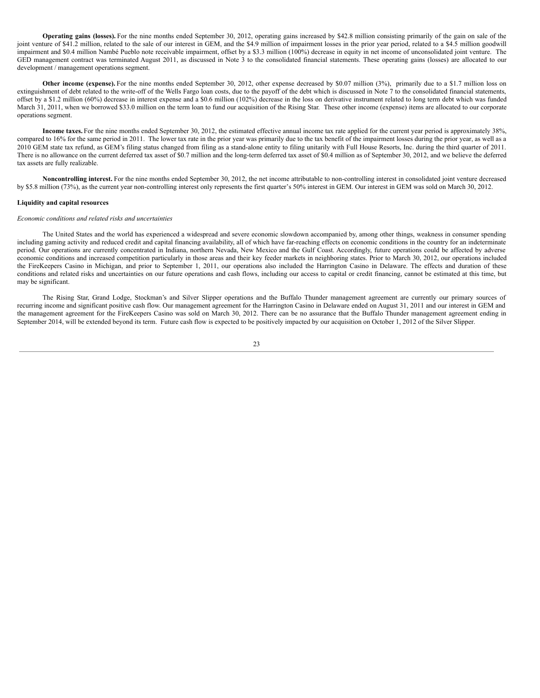**Operating gains (losses).** For the nine months ended September 30, 2012, operating gains increased by \$42.8 million consisting primarily of the gain on sale of the joint venture of \$41.2 million, related to the sale of our interest in GEM, and the \$4.9 million of impairment losses in the prior year period, related to a \$4.5 million goodwill impairment and \$0.4 million Nambé Pueblo note receivable impairment, offset by a \$3.3 million (100%) decrease in equity in net income of unconsolidated joint venture. The GED management contract was terminated August 2011, as discussed in Note 3 to the consolidated financial statements. These operating gains (losses) are allocated to our development / management operations segment.

**Other income (expense).** For the nine months ended September 30, 2012, other expense decreased by \$0.07 million (3%), primarily due to a \$1.7 million loss on extinguishment of debt related to the write-off of the Wells Fargo loan costs, due to the payoff of the debt which is discussed in Note 7 to the consolidated financial statements, offset by a \$1.2 million (60%) decrease in interest expense and a \$0.6 million (102%) decrease in the loss on derivative instrument related to long term debt which was funded March 31, 2011, when we borrowed \$33.0 million on the term loan to fund our acquisition of the Rising Star. These other income (expense) items are allocated to our corporate operations segment.

**Income taxes.** For the nine months ended September 30, 2012, the estimated effective annual income tax rate applied for the current year period is approximately 38%, compared to 16% for the same period in 2011. The lower tax rate in the prior year was primarily due to the tax benefit of the impairment losses during the prior year, as well as a 2010 GEM state tax refund, as GEM's filing status changed from filing as a stand-alone entity to filing unitarily with Full House Resorts, Inc. during the third quarter of 2011. There is no allowance on the current deferred tax asset of \$0.7 million and the long-term deferred tax asset of \$0.4 million as of September 30, 2012, and we believe the deferred tax assets are fully realizable.

**Noncontrolling interest.** For the nine months ended September 30, 2012, the net income attributable to non-controlling interest in consolidated joint venture decreased by \$5.8 million (73%), as the current year non-controlling interest only represents the first quarter's 50% interest in GEM. Our interest in GEM was sold on March 30, 2012.

#### **Liquidity and capital resources**

#### *Economic conditions and related risks and uncertainties*

The United States and the world has experienced a widespread and severe economic slowdown accompanied by, among other things, weakness in consumer spending including gaming activity and reduced credit and capital financing availability, all of which have far-reaching effects on economic conditions in the country for an indeterminate period. Our operations are currently concentrated in Indiana, northern Nevada, New Mexico and the Gulf Coast. Accordingly, future operations could be affected by adverse economic conditions and increased competition particularly in those areas and their key feeder markets in neighboring states. Prior to March 30, 2012, our operations included the FireKeepers Casino in Michigan, and prior to September 1, 2011, our operations also included the Harrington Casino in Delaware. The effects and duration of these conditions and related risks and uncertainties on our future operations and cash flows, including our access to capital or credit financing, cannot be estimated at this time, but may be significant.

The Rising Star, Grand Lodge, Stockman's and Silver Slipper operations and the Buffalo Thunder management agreement are currently our primary sources of recurring income and significant positive cash flow. Our management agreement for the Harrington Casino in Delaware ended on August 31, 2011 and our interest in GEM and the management agreement for the FireKeepers Casino was sold on March 30, 2012. There can be no assurance that the Buffalo Thunder management agreement ending in September 2014, will be extended beyond its term. Future cash flow is expected to be positively impacted by our acquisition on October 1, 2012 of the Silver Slipper.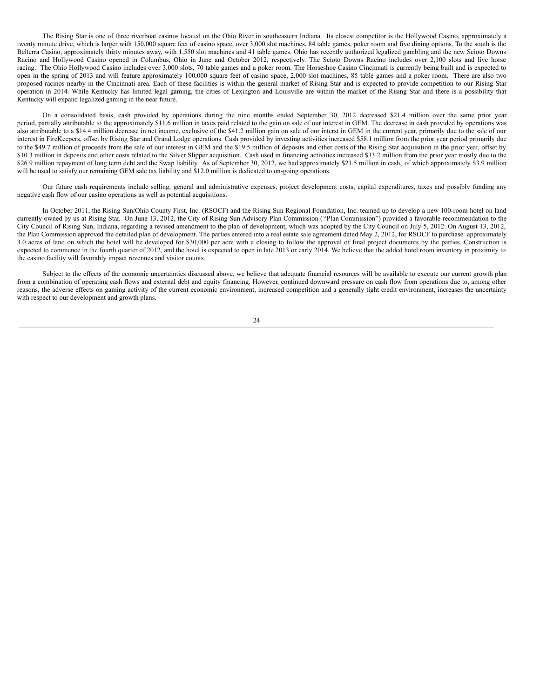The Rising Star is one of three riverboat casinos located on the Ohio River in southeastern Indiana. Its closest competitor is the Hollywood Casino, approximately a twenty minute drive, which is larger with 150,000 square feet of casino space, over 3,000 slot machines, 84 table games, poker room and five dining options. To the south is the Belterra Casino, approximately thirty minutes away, with 1,550 slot machines and 41 table games. Ohio has recently authorized legalized gambling and the new Scioto Downs Racino and Hollywood Casino opened in Columbus, Ohio in June and October 2012, respectively. The Scioto Downs Racino includes over 2,100 slots and live horse racing. The Ohio Hollywood Casino includes over 3,000 slots, 70 table games and a poker room. The Horseshoe Casino Cincinnati is currently being built and is expected to open in the spring of 2013 and will feature approximately 100,000 square feet of casino space, 2,000 slot machines, 85 table games and a poker room. There are also two proposed racinos nearby in the Cincinnati area. Each of these facilities is within the general market of Rising Star and is expected to provide competition to our Rising Star operation in 2014. While Kentucky has limited legal gaming, the cities of Lexington and Louisville are within the market of the Rising Star and there is a possibility that Kentucky will expand legalized gaming in the near future.

On a consolidated basis, cash provided by operations during the nine months ended September 30, 2012 decreased \$21.4 million over the same prior year period, partially attributable to the approximately \$11.6 million in taxes paid related to the gain on sale of our interest in GEM. The decrease in cash provided by operations was also attributable to a \$14.4 million decrease in net income, exclusive of the \$41.2 million gain on sale of our interst in GEM in the current year, primarily due to the sale of our interest in FireKeepers, offset by Rising Star and Grand Lodge operations. Cash provided by investing activities increased \$58.1 million from the prior year period primarily due to the \$49.7 million of proceeds from the sale of our interest in GEM and the \$19.5 million of deposits and other costs of the Rising Star acquisition in the prior year, offset by \$10.3 million in deposits and other costs related to the Silver Slipper acquisition. Cash used in financing activities increased \$33.2 million from the prior year mostly due to the \$26.9 million repayment of long term debt and the Swap liability. As of September 30, 2012, we had approximately \$21.5 million in cash, of which approximately \$3.9 million will be used to satisfy our remaining GEM sale tax liability and \$12.0 million is dedicated to on-going operations.

Our future cash requirements include selling, general and administrative expenses, project development costs, capital expenditures, taxes and possibly funding any negative cash flow of our casino operations as well as potential acquisitions.

In October 2011, the Rising Sun/Ohio County First, Inc. (RSOCF) and the Rising Sun Regional Foundation, Inc. teamed up to develop a new 100-room hotel on land currently owned by us at Rising Star. On June 13, 2012, the City of Rising Sun Advisory Plan Commission ( "Plan Commission") provided a favorable recommendation to the City Council of Rising Sun, Indiana, regarding a revised amendment to the plan of development, which was adopted by the City Council on July 5, 2012. On August 13, 2012, the Plan Commission approved the detailed plan of development. The parties entered into a real estate sale agreement dated May 2, 2012, for RSOCF to purchase approximately 3.0 acres of land on which the hotel will be developed for \$30,000 per acre with a closing to follow the approval of final project documents by the parties. Construction is expected to commence in the fourth quarter of 2012, and the hotel is expected to open in late 2013 or early 2014. We believe that the added hotel room inventory in proximity to the casino facility will favorably impact revenues and visitor counts.

Subject to the effects of the economic uncertainties discussed above, we believe that adequate financial resources will be available to execute our current growth plan from a combination of operating cash flows and external debt and equity financing. However, continued downward pressure on cash flow from operations due to, among other reasons, the adverse effects on gaming activity of the current economic environment, increased competition and a generally tight credit environment, increases the uncertainty with respect to our development and growth plans.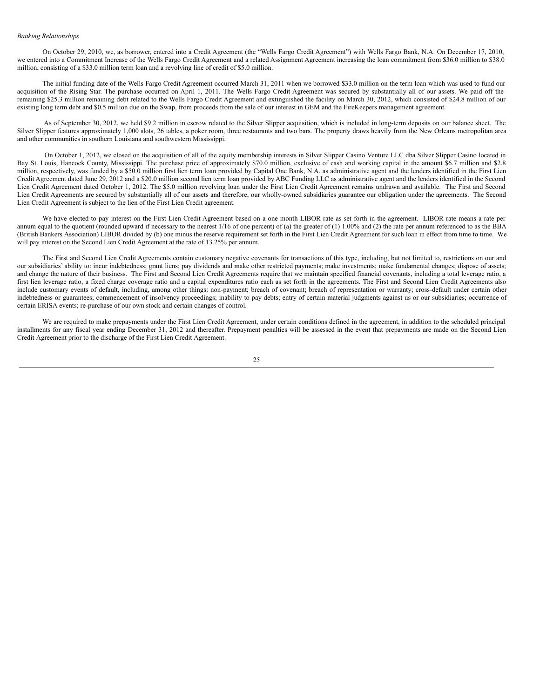#### *Banking Relationships*

On October 29, 2010, we, as borrower, entered into a Credit Agreement (the "Wells Fargo Credit Agreement") with Wells Fargo Bank, N.A. On December 17, 2010, we entered into a Commitment Increase of the Wells Fargo Credit Agreement and a related Assignment Agreement increasing the loan commitment from \$36.0 million to \$38.0 million, consisting of a \$33.0 million term loan and a revolving line of credit of \$5.0 million.

The initial funding date of the Wells Fargo Credit Agreement occurred March 31, 2011 when we borrowed \$33.0 million on the term loan which was used to fund our acquisition of the Rising Star. The purchase occurred on April 1, 2011. The Wells Fargo Credit Agreement was secured by substantially all of our assets. We paid off the remaining \$25.3 million remaining debt related to the Wells Fargo Credit Agreement and extinguished the facility on March 30, 2012, which consisted of \$24.8 million of our existing long term debt and \$0.5 million due on the Swap, from proceeds from the sale of our interest in GEM and the FireKeepers management agreement.

As of September 30, 2012, we held \$9.2 million in escrow related to the Silver Slipper acquisition, which is included in long-term deposits on our balance sheet. The Silver Slipper features approximately 1,000 slots, 26 tables, a poker room, three restaurants and two bars. The property draws heavily from the New Orleans metropolitan area and other communities in southern Louisiana and southwestern Mississippi.

On October 1, 2012, we closed on the acquisition of all of the equity membership interests in Silver Slipper Casino Venture LLC dba Silver Slipper Casino located in Bay St. Louis, Hancock County, Mississippi. The purchase price of approximately \$70.0 million, exclusive of cash and working capital in the amount \$6.7 million and \$2.8 million, respectively, was funded by a \$50.0 million first lien term loan provided by Capital One Bank, N.A. as administrative agent and the lenders identified in the First Lien Credit Agreement dated June 29, 2012 and a \$20.0 million second lien term loan provided by ABC Funding LLC as administrative agent and the lenders identified in the Second Lien Credit Agreement dated October 1, 2012. The \$5.0 million revolving loan under the First Lien Credit Agreement remains undrawn and available. The First and Second Lien Credit Agreements are secured by substantially all of our assets and therefore, our wholly-owned subsidiaries guarantee our obligation under the agreements. The Second Lien Credit Agreement is subject to the lien of the First Lien Credit agreement.

We have elected to pay interest on the First Lien Credit Agreement based on a one month LIBOR rate as set forth in the agreement. LIBOR rate means a rate per annum equal to the quotient (rounded upward if necessary to the nearest  $1/16$  of one percent) of (a) the greater of (1) 1.00% and (2) the rate per annum referenced to as the BBA (British Bankers Association) LIBOR divided by (b) one minus the reserve requirement set forth in the First Lien Credit Agreement for such loan in effect from time to time. We will pay interest on the Second Lien Credit Agreement at the rate of 13.25% per annum.

The First and Second Lien Credit Agreements contain customary negative covenants for transactions of this type, including, but not limited to, restrictions on our and our subsidiaries' ability to: incur indebtedness; grant liens; pay dividends and make other restricted payments; make investments; make fundamental changes; dispose of assets; and change the nature of their business. The First and Second Lien Credit Agreements require that we maintain specified financial covenants, including a total leverage ratio, a first lien leverage ratio, a fixed charge coverage ratio and a capital expenditures ratio each as set forth in the agreements. The First and Second Lien Credit Agreements also include customary events of default, including, among other things: non-payment; breach of covenant; breach of representation or warranty; cross-default under certain other indebtedness or guarantees; commencement of insolvency proceedings; inability to pay debts; entry of certain material judgments against us or our subsidiaries; occurrence of certain ERISA events; re-purchase of our own stock and certain changes of control.

We are required to make prepayments under the First Lien Credit Agreement, under certain conditions defined in the agreement, in addition to the scheduled principal installments for any fiscal year ending December 31, 2012 and thereafter. Prepayment penalties will be assessed in the event that prepayments are made on the Second Lien Credit Agreement prior to the discharge of the First Lien Credit Agreement.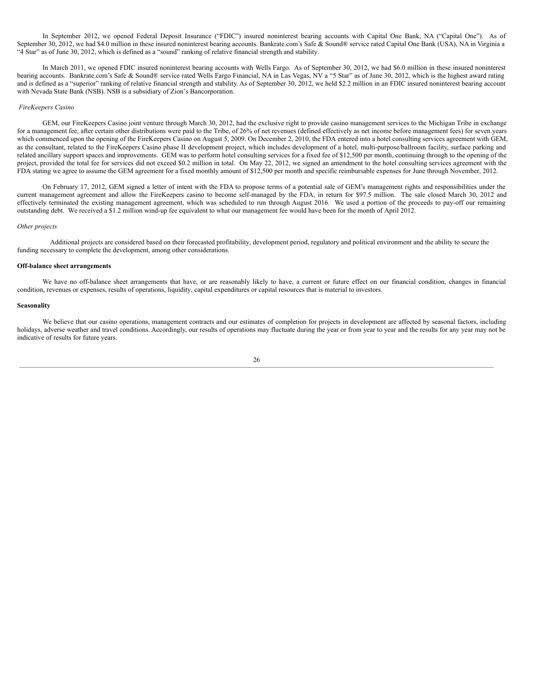In September 2012, we opened Federal Deposit Insurance ("FDIC") insured noninterest bearing accounts with Capital One Bank, NA ("Capital One"). As of September 30, 2012, we had \$4.0 million in these insured noninterest bearing accounts. Bankrate.com's Safe & Sound® service rated Capital One Bank (USA), NA in Virginia a "4 Star" as of June 30, 2012, which is defined as a "sound" ranking of relative financial strength and stability.

In March 2011, we opened FDIC insured noninterest bearing accounts with Wells Fargo. As of September 30, 2012, we had \$6.0 million in these insured noninterest bearing accounts. Bankrate.com's Safe & Sound® service rated Wells Fargo Financial, NA in Las Vegas, NV a "5 Star" as of June 30, 2012, which is the highest award rating and is defined as a "superior" ranking of relative financial strength and stability. As of September 30, 2012, we held \$2.2 million in an FDIC insured noninterest bearing account with Nevada State Bank (NSB). NSB is a subsidiary of Zion's Bancorporation.

#### *FireKeepers Casino*

GEM, our FireKeepers Casino joint venture through March 30, 2012, had the exclusive right to provide casino management services to the Michigan Tribe in exchange for a management fee, after certain other distributions were paid to the Tribe, of 26% of net revenues (defined effectively as net income before management fees) for seven years which commenced upon the opening of the FireKeepers Casino on August 5, 2009. On December 2, 2010, the FDA entered into a hotel consulting services agreement with GEM, as the consultant, related to the FireKeepers Casino phase II development project, which includes development of a hotel, multi-purpose/ballroom facility, surface parking and related ancillary support spaces and improvements. GEM was to perform hotel consulting services for a fixed fee of \$12,500 per month, continuing through to the opening of the project, provided the total fee for services did not exceed \$0.2 million in total. On May 22, 2012, we signed an amendment to the hotel consulting services agreement with the FDA stating we agree to assume the GEM agreement for a fixed monthly amount of \$12,500 per month and specific reimbursable expenses for June through November, 2012.

On February 17, 2012, GEM signed a letter of intent with the FDA to propose terms of a potential sale of GEM's management rights and responsibilities under the current management agreement and allow the FireKeepers casino to become self-managed by the FDA, in return for \$97.5 million. The sale closed March 30, 2012 and effectively terminated the existing management agreement, which was scheduled to run through August 2016. We used a portion of the proceeds to pay-off our remaining outstanding debt. We received a \$1.2 million wind-up fee equivalent to what our management fee would have been for the month of April 2012.

#### *Other projects*

Additional projects are considered based on their forecasted profitability, development period, regulatory and political environment and the ability to secure the funding necessary to complete the development, among other considerations.

#### **Off-balance sheet arrangements**

We have no off-balance sheet arrangements that have, or are reasonably likely to have, a current or future effect on our financial condition, changes in financial condition, revenues or expenses, results of operations, liquidity, capital expenditures or capital resources that is material to investors.

#### **Seasonality**

We believe that our casino operations, management contracts and our estimates of completion for projects in development are affected by seasonal factors, including holidays, adverse weather and travel conditions. Accordingly, our results of operations may fluctuate during the year or from year to year and the results for any year may not be indicative of results for future years.

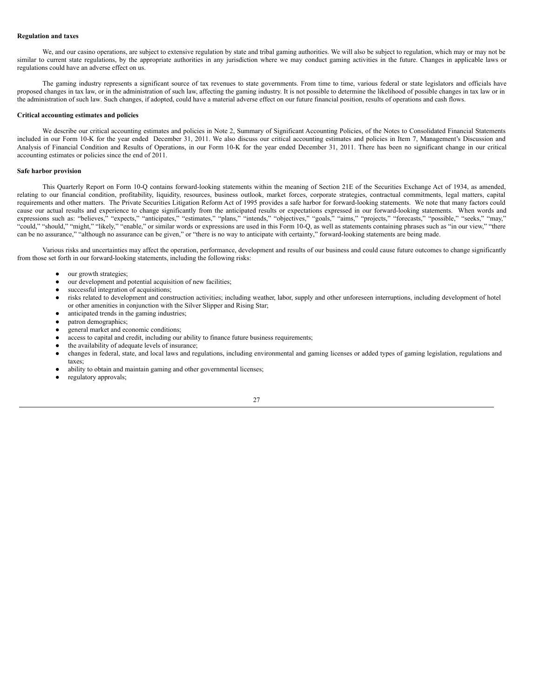#### **Regulation and taxes**

We, and our casino operations, are subject to extensive regulation by state and tribal gaming authorities. We will also be subject to regulation, which may or may not be similar to current state regulations, by the appropriate authorities in any jurisdiction where we may conduct gaming activities in the future. Changes in applicable laws or regulations could have an adverse effect on us.

The gaming industry represents a significant source of tax revenues to state governments. From time to time, various federal or state legislators and officials have proposed changes in tax law, or in the administration of such law, affecting the gaming industry. It is not possible to determine the likelihood of possible changes in tax law or in the administration of such law. Such changes, if adopted, could have a material adverse effect on our future financial position, results of operations and cash flows.

#### **Critical accounting estimates and policies**

We describe our critical accounting estimates and policies in Note 2, Summary of Significant Accounting Policies, of the Notes to Consolidated Financial Statements included in our Form 10-K for the year ended December 31, 2011. We also discuss our critical accounting estimates and policies in Item 7, Management's Discussion and Analysis of Financial Condition and Results of Operations, in our Form 10-K for the year ended December 31, 2011. There has been no significant change in our critical accounting estimates or policies since the end of 2011.

#### **Safe harbor provision**

This Quarterly Report on Form 10-Q contains forward-looking statements within the meaning of Section 21E of the Securities Exchange Act of 1934, as amended, relating to our financial condition, profitability, liquidity, resources, business outlook, market forces, corporate strategies, contractual commitments, legal matters, capital requirements and other matters. The Private Securities Litigation Reform Act of 1995 provides a safe harbor for forward-looking statements. We note that many factors could cause our actual results and experience to change significantly from the anticipated results or expectations expressed in our forward-looking statements. When words and expressions such as: "believes," "expects," "anticipates," "estimates," "plans," "intends," "objectives," "goals," "aims," "projects," "forecasts," "possible," "seeks," "may," "could," "should," "might," "likely," "enable," or similar words or expressions are used in this Form 10-Q, as well as statements containing phrases such as "in our view," "there can be no assurance," "although no assurance can be given," or "there is no way to anticipate with certainty," forward-looking statements are being made.

Various risks and uncertainties may affect the operation, performance, development and results of our business and could cause future outcomes to change significantly from those set forth in our forward-looking statements, including the following risks:

- our growth strategies;
- our development and potential acquisition of new facilities;
- successful integration of acquisitions;
- risks related to development and construction activities; including weather, labor, supply and other unforeseen interruptions, including development of hotel or other amenities in conjunction with the Silver Slipper and Rising Star;
- anticipated trends in the gaming industries;
- patron demographics;
- general market and economic conditions;
- access to capital and credit, including our ability to finance future business requirements;
- the availability of adequate levels of insurance;
- changes in federal, state, and local laws and regulations, including environmental and gaming licenses or added types of gaming legislation, regulations and taxes;
- ability to obtain and maintain gaming and other governmental licenses;
- regulatory approvals;

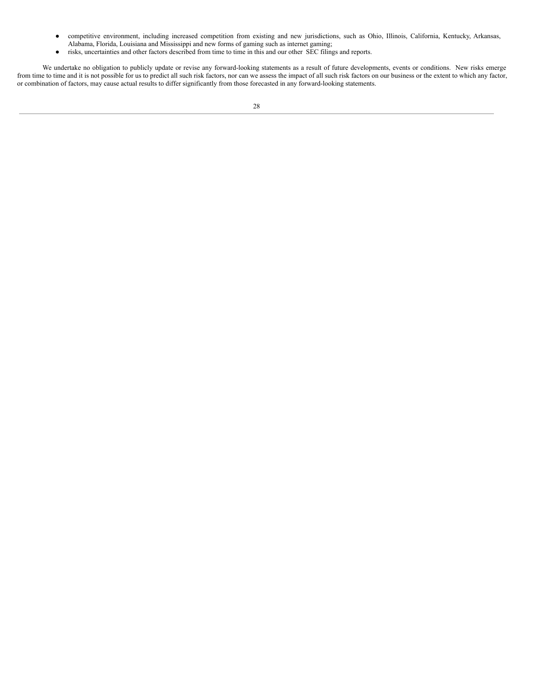- competitive environment, including increased competition from existing and new jurisdictions, such as Ohio, Illinois, California, Kentucky, Arkansas, Alabama, Florida, Louisiana and Mississippi and new forms of gaming such as internet gaming;
- risks, uncertainties and other factors described from time to time in this and our other SEC filings and reports.

We undertake no obligation to publicly update or revise any forward-looking statements as a result of future developments, events or conditions. New risks emerge from time to time and it is not possible for us to predict all such risk factors, nor can we assess the impact of all such risk factors on our business or the extent to which any factor, or combination of factors, may cause actual results to differ significantly from those forecasted in any forward-looking statements.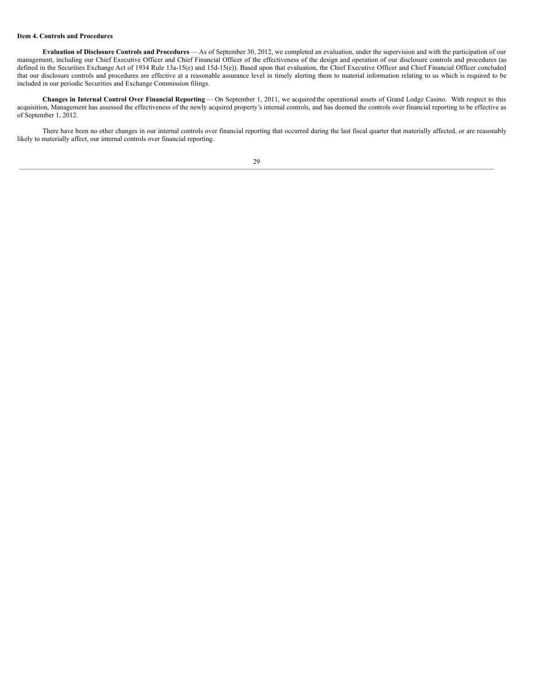#### **Item 4. Controls and Procedures**

**Evaluation of Disclosure Controls and Procedures** — As of September 30, 2012, we completed an evaluation, under the supervision and with the participation of our management, including our Chief Executive Officer and Chief Financial Officer of the effectiveness of the design and operation of our disclosure controls and procedures (as defined in the Securities Exchange Act of 1934 Rule 13a-15(e) and 15d-15(e)). Based upon that evaluation, the Chief Executive Officer and Chief Financial Officer concluded that our disclosure controls and procedures are effective at a reasonable assurance level in timely alerting them to material information relating to us which is required to be included in our periodic Securities and Exchange Commission filings.

**Changes in Internal Control Over Financial Reporting**— On September 1, 2011, we acquired the operational assets of Grand Lodge Casino. With respect to this acquisition, Management has assessed the effectiveness of the newly acquired property's internal controls, and has deemed the controls over financial reporting to be effective as of September 1, 2012.

There have been no other changes in our internal controls over financial reporting that occurred during the last fiscal quarter that materially affected, or are reasonably likely to materially affect, our internal controls over financial reporting.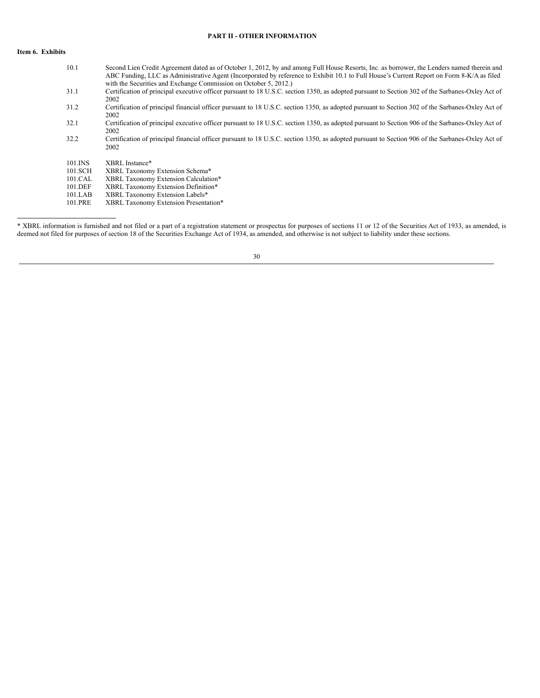# **PART II - OTHER INFORMATION**

### **Item 6. Exhibits**

| 10.1    | Second Lien Credit Agreement dated as of October 1, 2012, by and among Full House Resorts, Inc. as borrower, the Lenders named therein and<br>ABC Funding, LLC as Administrative Agent (Incorporated by reference to Exhibit 10.1 to Full House's Current Report on Form 8-K/A as filed |
|---------|-----------------------------------------------------------------------------------------------------------------------------------------------------------------------------------------------------------------------------------------------------------------------------------------|
|         | with the Securities and Exchange Commission on October 5, 2012.                                                                                                                                                                                                                         |
| 31.1    | Certification of principal executive officer pursuant to 18 U.S.C. section 1350, as adopted pursuant to Section 302 of the Sarbanes-Oxley Act of<br>2002                                                                                                                                |
| 31.2    | Certification of principal financial officer pursuant to 18 U.S.C. section 1350, as adopted pursuant to Section 302 of the Sarbanes-Oxley Act of<br>2002                                                                                                                                |
| 32.1    | Certification of principal executive officer pursuant to 18 U.S.C. section 1350, as adopted pursuant to Section 906 of the Sarbanes-Oxley Act of<br>2002                                                                                                                                |
| 32.2    | Certification of principal financial officer pursuant to 18 U.S.C. section 1350, as adopted pursuant to Section 906 of the Sarbanes-Oxley Act of<br>2002                                                                                                                                |
| 101.INS | XBRL Instance*                                                                                                                                                                                                                                                                          |
| 101.SCH | XBRL Taxonomy Extension Schema*                                                                                                                                                                                                                                                         |
| 101.CAL | XBRL Taxonomy Extension Calculation*                                                                                                                                                                                                                                                    |
| 101.DEF | XBRL Taxonomy Extension Definition*                                                                                                                                                                                                                                                     |
| 101.LAB | XBRL Taxonomy Extension Labels*                                                                                                                                                                                                                                                         |
| 101.PRE | XBRL Taxonomy Extension Presentation*                                                                                                                                                                                                                                                   |
|         |                                                                                                                                                                                                                                                                                         |

\* XBRL information is furnished and not filed or a part of a registration statement or prospectus for purposes of sections 11 or 12 of the Securities Act of 1933, as amended, is deemed not filed for purposes of section 18 of the Securities Exchange Act of 1934, as amended, and otherwise is not subject to liability under these sections.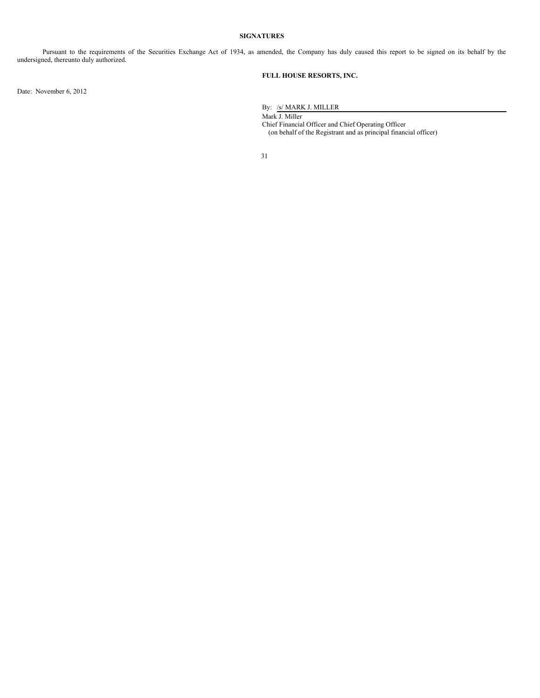# **SIGNATURES**

Pursuant to the requirements of the Securities Exchange Act of 1934, as amended, the Company has duly caused this report to be signed on its behalf by the undersigned, thereunto duly authorized.

Date: November 6, 2012

# **FULL HOUSE RESORTS, INC.**

By: /s/ MARK J. MILLER

Mark J. Miller Chief Financial Officer and Chief Operating Officer (on behalf of the Registrant and as principal financial officer)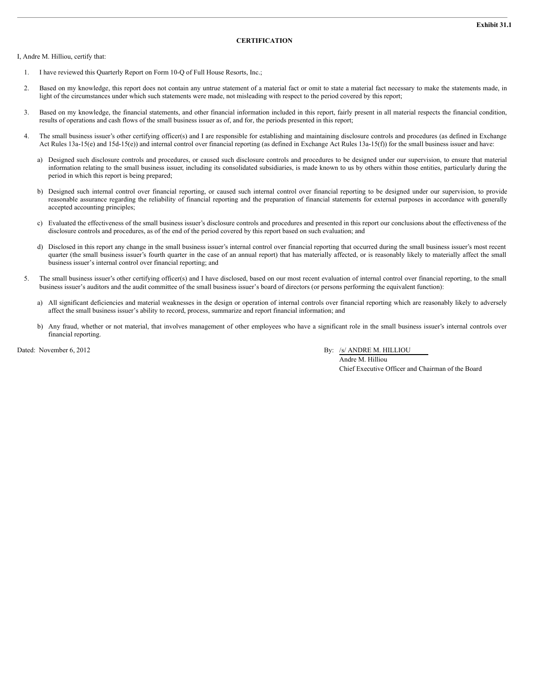#### **CERTIFICATION**

I, Andre M. Hilliou, certify that:

- 1. I have reviewed this Quarterly Report on Form 10-Q of Full House Resorts, Inc.;
- 2. Based on my knowledge, this report does not contain any untrue statement of a material fact or omit to state a material fact necessary to make the statements made, in light of the circumstances under which such statements were made, not misleading with respect to the period covered by this report;
- 3. Based on my knowledge, the financial statements, and other financial information included in this report, fairly present in all material respects the financial condition, results of operations and cash flows of the small business issuer as of, and for, the periods presented in this report;
- 4. The small business issuer's other certifying officer(s) and I are responsible for establishing and maintaining disclosure controls and procedures (as defined in Exchange Act Rules 13a-15(e) and 15d-15(e)) and internal control over financial reporting (as defined in Exchange Act Rules 13a-15(f)) for the small business issuer and have:
	- a) Designed such disclosure controls and procedures, or caused such disclosure controls and procedures to be designed under our supervision, to ensure that material information relating to the small business issuer, including its consolidated subsidiaries, is made known to us by others within those entities, particularly during the period in which this report is being prepared;
	- b) Designed such internal control over financial reporting, or caused such internal control over financial reporting to be designed under our supervision, to provide reasonable assurance regarding the reliability of financial reporting and the preparation of financial statements for external purposes in accordance with generally accepted accounting principles;
	- c) Evaluated the effectiveness of the small business issuer's disclosure controls and procedures and presented in this report our conclusions about the effectiveness of the disclosure controls and procedures, as of the end of the period covered by this report based on such evaluation; and
	- d) Disclosed in this report any change in the small business issuer's internal control over financial reporting that occurred during the small business issuer's most recent quarter (the small business issuer's fourth quarter in the case of an annual report) that has materially affected, or is reasonably likely to materially affect the small business issuer's internal control over financial reporting; and
- 5. The small business issuer's other certifying officer(s) and I have disclosed, based on our most recent evaluation of internal control over financial reporting, to the small business issuer's auditors and the audit committee of the small business issuer's board of directors (or persons performing the equivalent function):
	- a) All significant deficiencies and material weaknesses in the design or operation of internal controls over financial reporting which are reasonably likely to adversely affect the small business issuer's ability to record, process, summarize and report financial information; and
	- b) Any fraud, whether or not material, that involves management of other employees who have a significant role in the small business issuer's internal controls over financial reporting.

Dated: November 6, 2012 By: /s/ ANDRE M. HILLIOU Andre M. Hilliou Chief Executive Officer and Chairman of the Board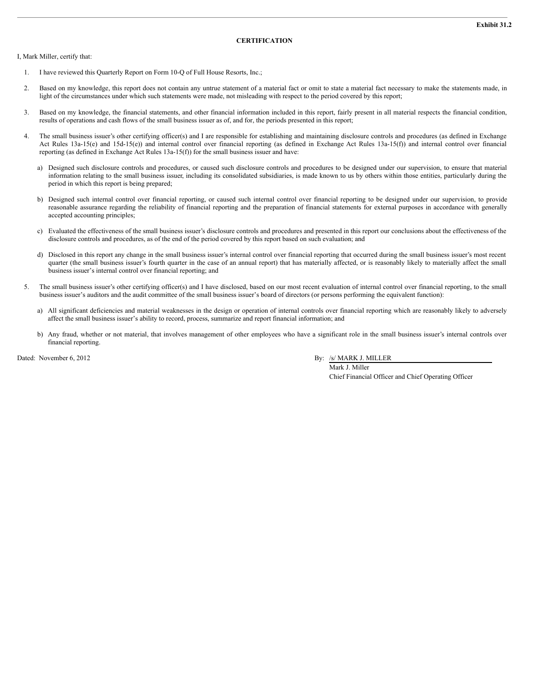#### **CERTIFICATION**

I, Mark Miller, certify that:

- 1. I have reviewed this Quarterly Report on Form 10-Q of Full House Resorts, Inc.;
- 2. Based on my knowledge, this report does not contain any untrue statement of a material fact or omit to state a material fact necessary to make the statements made, in light of the circumstances under which such statements were made, not misleading with respect to the period covered by this report;
- 3. Based on my knowledge, the financial statements, and other financial information included in this report, fairly present in all material respects the financial condition, results of operations and cash flows of the small business issuer as of, and for, the periods presented in this report;
- 4. The small business issuer's other certifying officer(s) and I are responsible for establishing and maintaining disclosure controls and procedures (as defined in Exchange Act Rules 13a-15(e) and 15d-15(e)) and internal control over financial reporting (as defined in Exchange Act Rules 13a-15(f)) and internal control over financial reporting (as defined in Exchange Act Rules 13a-15(f)) for the small business issuer and have:
	- a) Designed such disclosure controls and procedures, or caused such disclosure controls and procedures to be designed under our supervision, to ensure that material information relating to the small business issuer, including its consolidated subsidiaries, is made known to us by others within those entities, particularly during the period in which this report is being prepared;
	- b) Designed such internal control over financial reporting, or caused such internal control over financial reporting to be designed under our supervision, to provide reasonable assurance regarding the reliability of financial reporting and the preparation of financial statements for external purposes in accordance with generally accepted accounting principles;
	- c) Evaluated the effectiveness of the small business issuer's disclosure controls and procedures and presented in this report our conclusions about the effectiveness of the disclosure controls and procedures, as of the end of the period covered by this report based on such evaluation; and
	- d) Disclosed in this report any change in the small business issuer's internal control over financial reporting that occurred during the small business issuer's most recent quarter (the small business issuer's fourth quarter in the case of an annual report) that has materially affected, or is reasonably likely to materially affect the small business issuer's internal control over financial reporting; and
- 5. The small business issuer's other certifying officer(s) and I have disclosed, based on our most recent evaluation of internal control over financial reporting, to the small business issuer's auditors and the audit committee of the small business issuer's board of directors (or persons performing the equivalent function):
	- a) All significant deficiencies and material weaknesses in the design or operation of internal controls over financial reporting which are reasonably likely to adversely affect the small business issuer's ability to record, process, summarize and report financial information; and
	- b) Any fraud, whether or not material, that involves management of other employees who have a significant role in the small business issuer's internal controls over financial reporting.

Dated: November 6, 2012 **By:** /s/ MARK J. MILLER

Mark J. Miller Chief Financial Officer and Chief Operating Officer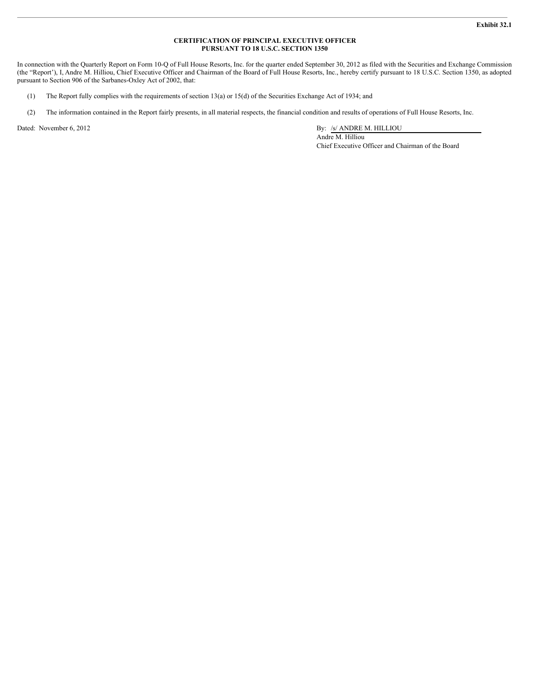#### **CERTIFICATION OF PRINCIPAL EXECUTIVE OFFICER PURSUANT TO 18 U.S.C. SECTION 1350**

In connection with the Quarterly Report on Form 10-Q of Full House Resorts, Inc. for the quarter ended September 30, 2012 as filed with the Securities and Exchange Commission (the "Report'), I, Andre M. Hilliou, Chief Executive Officer and Chairman of the Board of Full House Resorts, Inc., hereby certify pursuant to 18 U.S.C. Section 1350, as adopted pursuant to Section 906 of the Sarbanes-Oxley Act of 2002, that:

- (1) The Report fully complies with the requirements of section 13(a) or 15(d) of the Securities Exchange Act of 1934; and
- (2) The information contained in the Report fairly presents, in all material respects, the financial condition and results of operations of Full House Resorts, Inc.

Dated: November 6, 2012 By: /s/ ANDRE M. HILLIOU Andre M. Hilliou Chief Executive Officer and Chairman of the Board